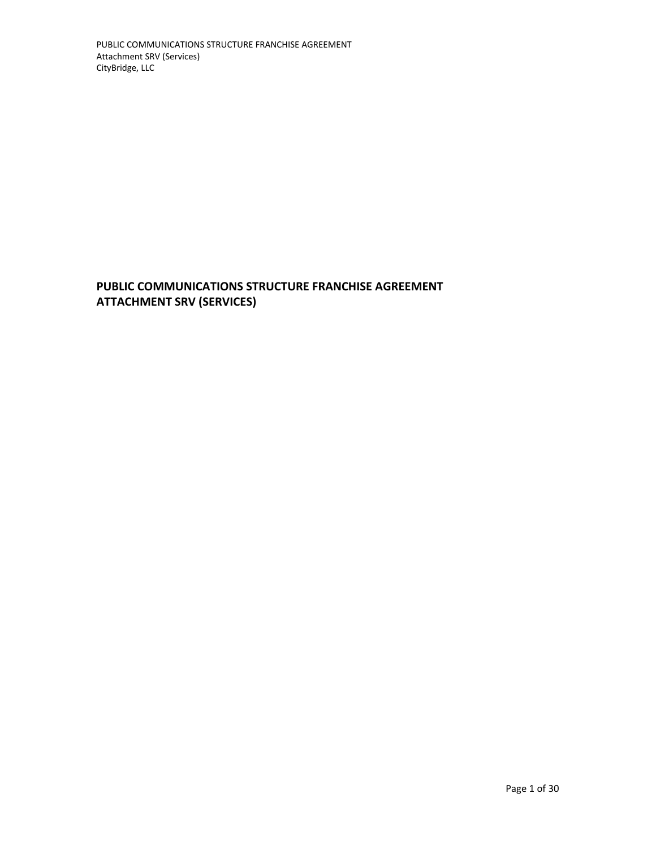**PUBLIC COMMUNICATIONS STRUCTURE FRANCHISE AGREEMENT ATTACHMENT SRV (SERVICES)**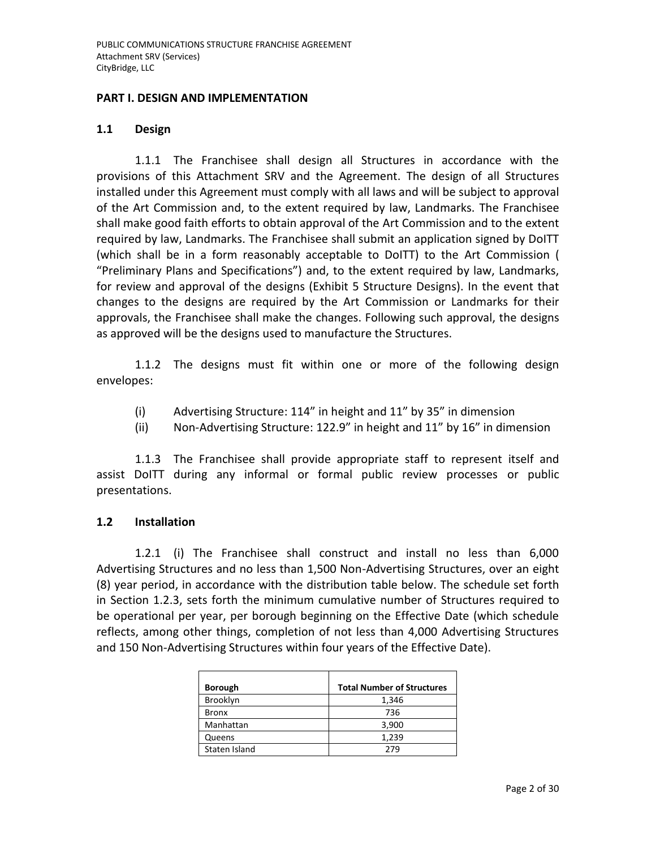#### **PART I. DESIGN AND IMPLEMENTATION**

#### **1.1 Design**

1.1.1 The Franchisee shall design all Structures in accordance with the provisions of this Attachment SRV and the Agreement. The design of all Structures installed under this Agreement must comply with all laws and will be subject to approval of the Art Commission and, to the extent required by law, Landmarks. The Franchisee shall make good faith efforts to obtain approval of the Art Commission and to the extent required by law, Landmarks. The Franchisee shall submit an application signed by DoITT (which shall be in a form reasonably acceptable to DoITT) to the Art Commission ( "Preliminary Plans and Specifications") and, to the extent required by law, Landmarks, for review and approval of the designs (Exhibit 5 Structure Designs). In the event that changes to the designs are required by the Art Commission or Landmarks for their approvals, the Franchisee shall make the changes. Following such approval, the designs as approved will be the designs used to manufacture the Structures.

1.1.2 The designs must fit within one or more of the following design envelopes:

- (i) Advertising Structure: 114" in height and 11" by 35" in dimension
- (ii) Non-Advertising Structure: 122.9" in height and 11" by 16" in dimension

1.1.3 The Franchisee shall provide appropriate staff to represent itself and assist DoITT during any informal or formal public review processes or public presentations.

### **1.2 Installation**

1.2.1 (i) The Franchisee shall construct and install no less than 6,000 Advertising Structures and no less than 1,500 Non-Advertising Structures, over an eight (8) year period, in accordance with the distribution table below. The schedule set forth in Section 1.2.3, sets forth the minimum cumulative number of Structures required to be operational per year, per borough beginning on the Effective Date (which schedule reflects, among other things, completion of not less than 4,000 Advertising Structures and 150 Non-Advertising Structures within four years of the Effective Date).

| <b>Borough</b> | <b>Total Number of Structures</b> |
|----------------|-----------------------------------|
| Brooklyn       | 1,346                             |
| <b>Bronx</b>   | 736                               |
| Manhattan      | 3,900                             |
| Queens         | 1,239                             |
| Staten Island  | 279                               |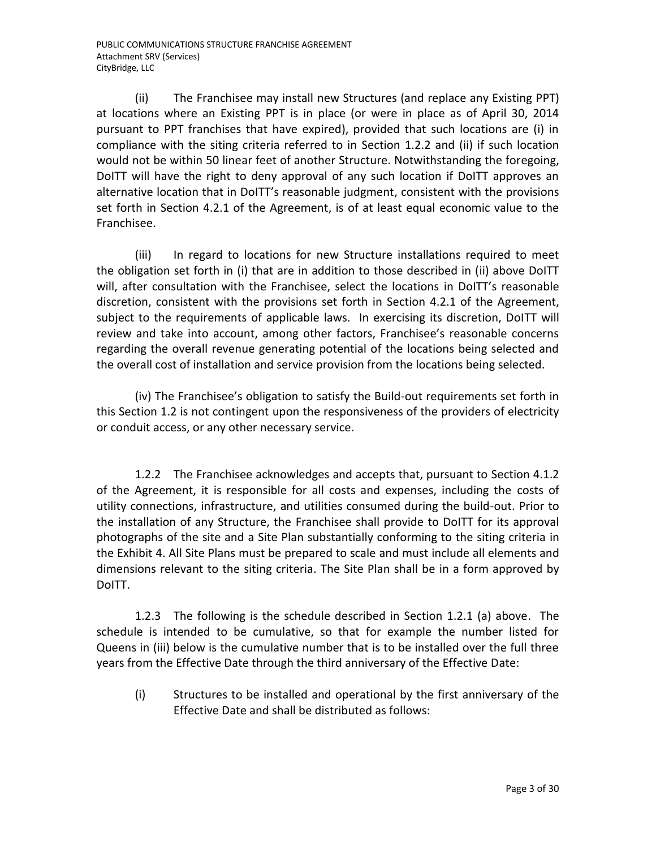(ii) The Franchisee may install new Structures (and replace any Existing PPT) at locations where an Existing PPT is in place (or were in place as of April 30, 2014 pursuant to PPT franchises that have expired), provided that such locations are (i) in compliance with the siting criteria referred to in Section 1.2.2 and (ii) if such location would not be within 50 linear feet of another Structure. Notwithstanding the foregoing, DoITT will have the right to deny approval of any such location if DoITT approves an alternative location that in DoITT's reasonable judgment, consistent with the provisions set forth in Section 4.2.1 of the Agreement, is of at least equal economic value to the Franchisee.

(iii) In regard to locations for new Structure installations required to meet the obligation set forth in (i) that are in addition to those described in (ii) above DoITT will, after consultation with the Franchisee, select the locations in DoITT's reasonable discretion, consistent with the provisions set forth in Section 4.2.1 of the Agreement, subject to the requirements of applicable laws. In exercising its discretion, DoITT will review and take into account, among other factors, Franchisee's reasonable concerns regarding the overall revenue generating potential of the locations being selected and the overall cost of installation and service provision from the locations being selected.

(iv) The Franchisee's obligation to satisfy the Build-out requirements set forth in this Section 1.2 is not contingent upon the responsiveness of the providers of electricity or conduit access, or any other necessary service.

1.2.2 The Franchisee acknowledges and accepts that, pursuant to Section 4.1.2 of the Agreement, it is responsible for all costs and expenses, including the costs of utility connections, infrastructure, and utilities consumed during the build-out. Prior to the installation of any Structure, the Franchisee shall provide to DoITT for its approval photographs of the site and a Site Plan substantially conforming to the siting criteria in the Exhibit 4. All Site Plans must be prepared to scale and must include all elements and dimensions relevant to the siting criteria. The Site Plan shall be in a form approved by DoITT.

1.2.3 The following is the schedule described in Section 1.2.1 (a) above. The schedule is intended to be cumulative, so that for example the number listed for Queens in (iii) below is the cumulative number that is to be installed over the full three years from the Effective Date through the third anniversary of the Effective Date:

(i) Structures to be installed and operational by the first anniversary of the Effective Date and shall be distributed as follows: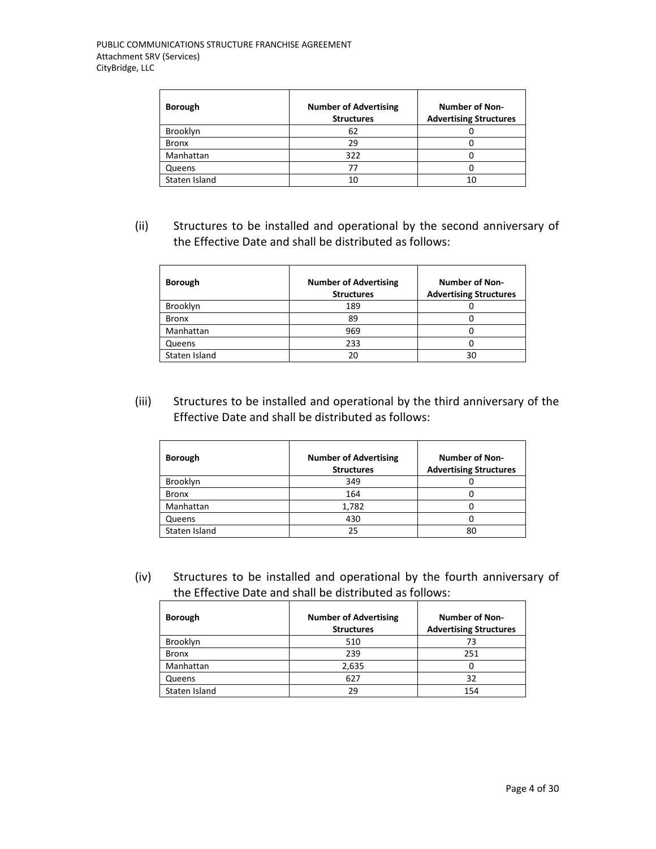| <b>Borough</b> | <b>Number of Advertising</b><br><b>Structures</b> | <b>Number of Non-</b><br><b>Advertising Structures</b> |
|----------------|---------------------------------------------------|--------------------------------------------------------|
| Brooklyn       | $b^2$                                             |                                                        |
| <b>Bronx</b>   | 29                                                |                                                        |
| Manhattan      | 322                                               |                                                        |
| Queens         |                                                   |                                                        |
| Staten Island  |                                                   |                                                        |

(ii) Structures to be installed and operational by the second anniversary of the Effective Date and shall be distributed as follows:

| <b>Borough</b> | <b>Number of Advertising</b><br><b>Structures</b> | <b>Number of Non-</b><br><b>Advertising Structures</b> |
|----------------|---------------------------------------------------|--------------------------------------------------------|
| Brooklyn       | 189                                               |                                                        |
| <b>Bronx</b>   | 89                                                |                                                        |
| Manhattan      | 969                                               |                                                        |
| Queens         | 233                                               |                                                        |
| Staten Island  |                                                   |                                                        |

(iii) Structures to be installed and operational by the third anniversary of the Effective Date and shall be distributed as follows:

| <b>Borough</b> | <b>Number of Advertising</b><br><b>Structures</b> | <b>Number of Non-</b><br><b>Advertising Structures</b> |
|----------------|---------------------------------------------------|--------------------------------------------------------|
| Brooklyn       | 349                                               |                                                        |
| <b>Bronx</b>   | 164                                               |                                                        |
| Manhattan      | 1,782                                             |                                                        |
| Queens         | 430                                               |                                                        |
| Staten Island  | 25                                                | 80                                                     |

(iv) Structures to be installed and operational by the fourth anniversary of the Effective Date and shall be distributed as follows:

| <b>Borough</b> | <b>Number of Advertising</b><br><b>Structures</b> | <b>Number of Non-</b><br><b>Advertising Structures</b> |
|----------------|---------------------------------------------------|--------------------------------------------------------|
| Brooklyn       | 510                                               | 73                                                     |
| <b>Bronx</b>   | 239                                               | 251                                                    |
| Manhattan      | 2,635                                             |                                                        |
| Queens         | 627                                               | 32                                                     |
| Staten Island  | 29                                                | 154                                                    |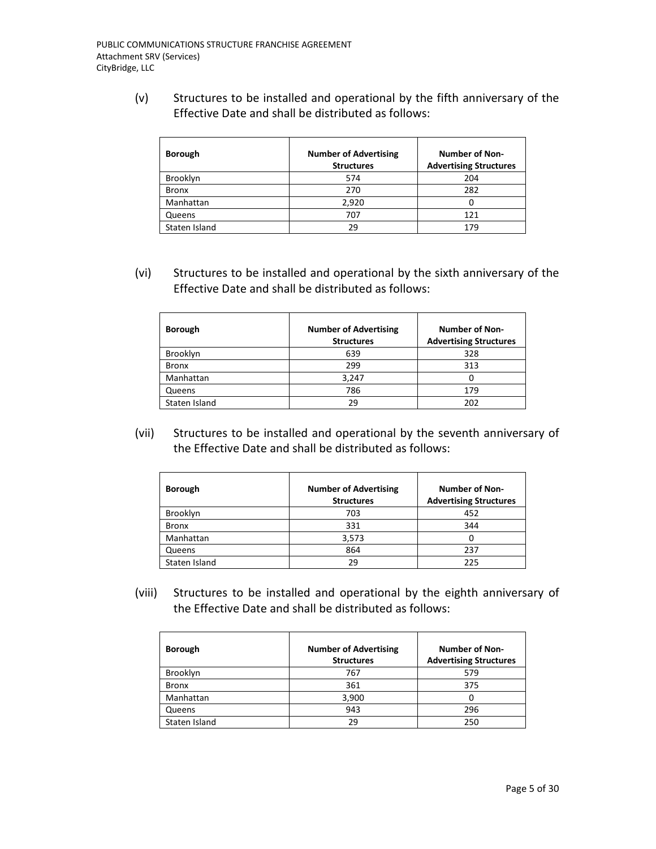(v) Structures to be installed and operational by the fifth anniversary of the Effective Date and shall be distributed as follows:

| <b>Borough</b> | <b>Number of Advertising</b><br><b>Structures</b> | <b>Number of Non-</b><br><b>Advertising Structures</b> |
|----------------|---------------------------------------------------|--------------------------------------------------------|
| Brooklyn       | 574                                               | 204                                                    |
| <b>Bronx</b>   | 270                                               | 282                                                    |
| Manhattan      | 2,920                                             |                                                        |
| Queens         | 707                                               | 121                                                    |
| Staten Island  | 29                                                | 179                                                    |

(vi) Structures to be installed and operational by the sixth anniversary of the Effective Date and shall be distributed as follows:

| <b>Borough</b> | <b>Number of Advertising</b><br><b>Structures</b> | <b>Number of Non-</b><br><b>Advertising Structures</b> |
|----------------|---------------------------------------------------|--------------------------------------------------------|
| Brooklyn       | 639                                               | 328                                                    |
| <b>Bronx</b>   | 299                                               | 313                                                    |
| Manhattan      | 3,247                                             |                                                        |
| Queens         | 786                                               | 179                                                    |
| Staten Island  | 29                                                | 202                                                    |

(vii) Structures to be installed and operational by the seventh anniversary of the Effective Date and shall be distributed as follows:

| <b>Borough</b> | <b>Number of Advertising</b><br><b>Structures</b> | <b>Number of Non-</b><br><b>Advertising Structures</b> |
|----------------|---------------------------------------------------|--------------------------------------------------------|
| Brooklyn       | 703                                               | 452                                                    |
| <b>Bronx</b>   | 331                                               | 344                                                    |
| Manhattan      | 3,573                                             | 0                                                      |
| Queens         | 864                                               | 237                                                    |
| Staten Island  | 29                                                | 225                                                    |

(viii) Structures to be installed and operational by the eighth anniversary of the Effective Date and shall be distributed as follows:

| <b>Borough</b> | <b>Number of Advertising</b><br><b>Structures</b> | <b>Number of Non-</b><br><b>Advertising Structures</b> |  |
|----------------|---------------------------------------------------|--------------------------------------------------------|--|
| Brooklyn       | 767                                               | 579                                                    |  |
| <b>Bronx</b>   | 361                                               | 375                                                    |  |
| Manhattan      | 3,900                                             |                                                        |  |
| Queens         | 943                                               | 296                                                    |  |
| Staten Island  | 29                                                | 250                                                    |  |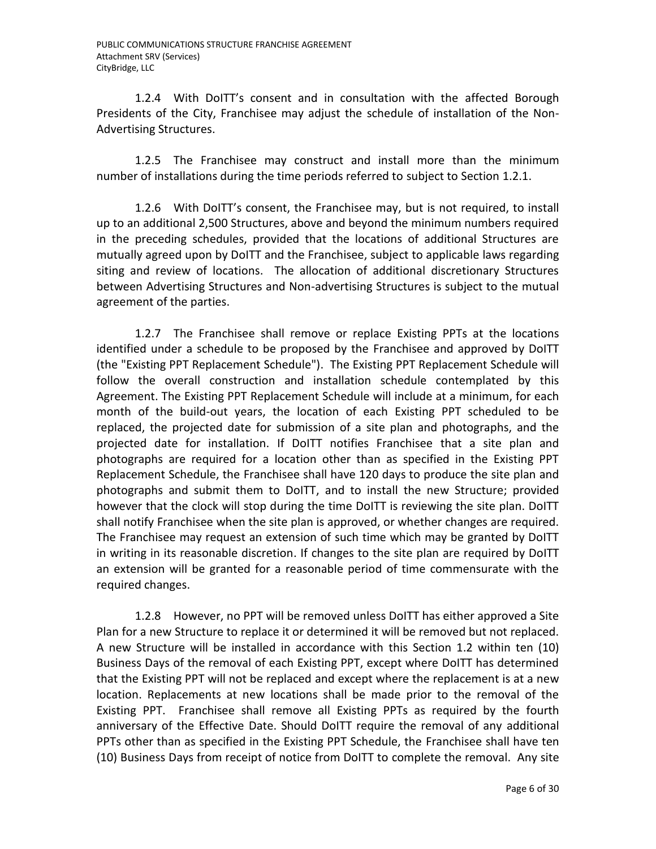1.2.4 With DoITT's consent and in consultation with the affected Borough Presidents of the City, Franchisee may adjust the schedule of installation of the Non-Advertising Structures.

1.2.5 The Franchisee may construct and install more than the minimum number of installations during the time periods referred to subject to Section 1.2.1.

1.2.6 With DoITT's consent, the Franchisee may, but is not required, to install up to an additional 2,500 Structures, above and beyond the minimum numbers required in the preceding schedules, provided that the locations of additional Structures are mutually agreed upon by DoITT and the Franchisee, subject to applicable laws regarding siting and review of locations. The allocation of additional discretionary Structures between Advertising Structures and Non-advertising Structures is subject to the mutual agreement of the parties.

1.2.7 The Franchisee shall remove or replace Existing PPTs at the locations identified under a schedule to be proposed by the Franchisee and approved by DoITT (the "Existing PPT Replacement Schedule"). The Existing PPT Replacement Schedule will follow the overall construction and installation schedule contemplated by this Agreement. The Existing PPT Replacement Schedule will include at a minimum, for each month of the build-out years, the location of each Existing PPT scheduled to be replaced, the projected date for submission of a site plan and photographs, and the projected date for installation. If DoITT notifies Franchisee that a site plan and photographs are required for a location other than as specified in the Existing PPT Replacement Schedule, the Franchisee shall have 120 days to produce the site plan and photographs and submit them to DoITT, and to install the new Structure; provided however that the clock will stop during the time DoITT is reviewing the site plan. DoITT shall notify Franchisee when the site plan is approved, or whether changes are required. The Franchisee may request an extension of such time which may be granted by DoITT in writing in its reasonable discretion. If changes to the site plan are required by DoITT an extension will be granted for a reasonable period of time commensurate with the required changes.

1.2.8 However, no PPT will be removed unless DoITT has either approved a Site Plan for a new Structure to replace it or determined it will be removed but not replaced. A new Structure will be installed in accordance with this Section 1.2 within ten (10) Business Days of the removal of each Existing PPT, except where DoITT has determined that the Existing PPT will not be replaced and except where the replacement is at a new location. Replacements at new locations shall be made prior to the removal of the Existing PPT. Franchisee shall remove all Existing PPTs as required by the fourth anniversary of the Effective Date. Should DoITT require the removal of any additional PPTs other than as specified in the Existing PPT Schedule, the Franchisee shall have ten (10) Business Days from receipt of notice from DoITT to complete the removal. Any site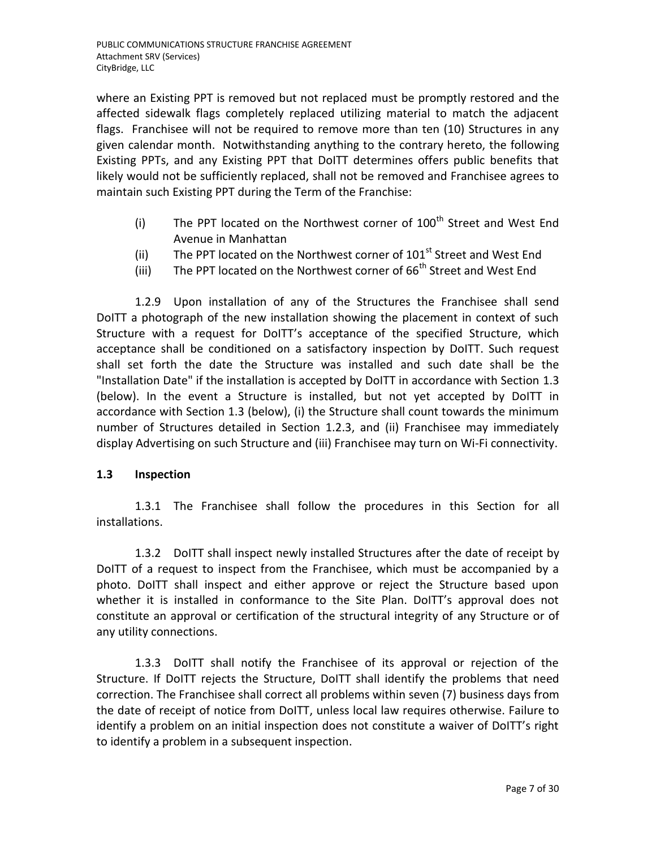where an Existing PPT is removed but not replaced must be promptly restored and the affected sidewalk flags completely replaced utilizing material to match the adjacent flags. Franchisee will not be required to remove more than ten (10) Structures in any given calendar month. Notwithstanding anything to the contrary hereto, the following Existing PPTs, and any Existing PPT that DoITT determines offers public benefits that likely would not be sufficiently replaced, shall not be removed and Franchisee agrees to maintain such Existing PPT during the Term of the Franchise:

- (i) The PPT located on the Northwest corner of  $100<sup>th</sup>$  Street and West End Avenue in Manhattan
- (ii) The PPT located on the Northwest corner of  $101<sup>st</sup>$  Street and West End
- (iii) The PPT located on the Northwest corner of  $66<sup>th</sup>$  Street and West End

1.2.9 Upon installation of any of the Structures the Franchisee shall send DoITT a photograph of the new installation showing the placement in context of such Structure with a request for DoITT's acceptance of the specified Structure, which acceptance shall be conditioned on a satisfactory inspection by DoITT. Such request shall set forth the date the Structure was installed and such date shall be the "Installation Date" if the installation is accepted by DoITT in accordance with Section 1.3 (below). In the event a Structure is installed, but not yet accepted by DoITT in accordance with Section 1.3 (below), (i) the Structure shall count towards the minimum number of Structures detailed in Section 1.2.3, and (ii) Franchisee may immediately display Advertising on such Structure and (iii) Franchisee may turn on Wi-Fi connectivity.

### **1.3 Inspection**

1.3.1 The Franchisee shall follow the procedures in this Section for all installations.

1.3.2 DoITT shall inspect newly installed Structures after the date of receipt by DoITT of a request to inspect from the Franchisee, which must be accompanied by a photo. DoITT shall inspect and either approve or reject the Structure based upon whether it is installed in conformance to the Site Plan. DoITT's approval does not constitute an approval or certification of the structural integrity of any Structure or of any utility connections.

1.3.3 DoITT shall notify the Franchisee of its approval or rejection of the Structure. If DoITT rejects the Structure, DoITT shall identify the problems that need correction. The Franchisee shall correct all problems within seven (7) business days from the date of receipt of notice from DoITT, unless local law requires otherwise. Failure to identify a problem on an initial inspection does not constitute a waiver of DoITT's right to identify a problem in a subsequent inspection.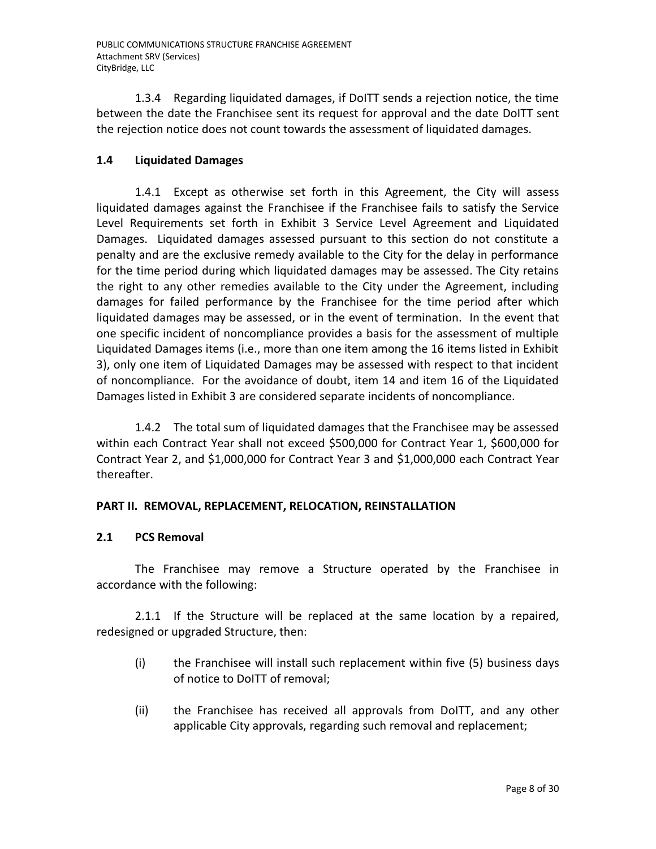1.3.4 Regarding liquidated damages, if DoITT sends a rejection notice, the time between the date the Franchisee sent its request for approval and the date DoITT sent the rejection notice does not count towards the assessment of liquidated damages.

# **1.4 Liquidated Damages**

1.4.1 Except as otherwise set forth in this Agreement, the City will assess liquidated damages against the Franchisee if the Franchisee fails to satisfy the Service Level Requirements set forth in Exhibit 3 Service Level Agreement and Liquidated Damages. Liquidated damages assessed pursuant to this section do not constitute a penalty and are the exclusive remedy available to the City for the delay in performance for the time period during which liquidated damages may be assessed. The City retains the right to any other remedies available to the City under the Agreement, including damages for failed performance by the Franchisee for the time period after which liquidated damages may be assessed, or in the event of termination. In the event that one specific incident of noncompliance provides a basis for the assessment of multiple Liquidated Damages items (i.e., more than one item among the 16 items listed in Exhibit 3), only one item of Liquidated Damages may be assessed with respect to that incident of noncompliance. For the avoidance of doubt, item 14 and item 16 of the Liquidated Damages listed in Exhibit 3 are considered separate incidents of noncompliance.

1.4.2 The total sum of liquidated damages that the Franchisee may be assessed within each Contract Year shall not exceed \$500,000 for Contract Year 1, \$600,000 for Contract Year 2, and \$1,000,000 for Contract Year 3 and \$1,000,000 each Contract Year thereafter.

## **PART II. REMOVAL, REPLACEMENT, RELOCATION, REINSTALLATION**

## **2.1 PCS Removal**

The Franchisee may remove a Structure operated by the Franchisee in accordance with the following:

2.1.1 If the Structure will be replaced at the same location by a repaired, redesigned or upgraded Structure, then:

- (i) the Franchisee will install such replacement within five (5) business days of notice to DoITT of removal;
- (ii) the Franchisee has received all approvals from DoITT, and any other applicable City approvals, regarding such removal and replacement;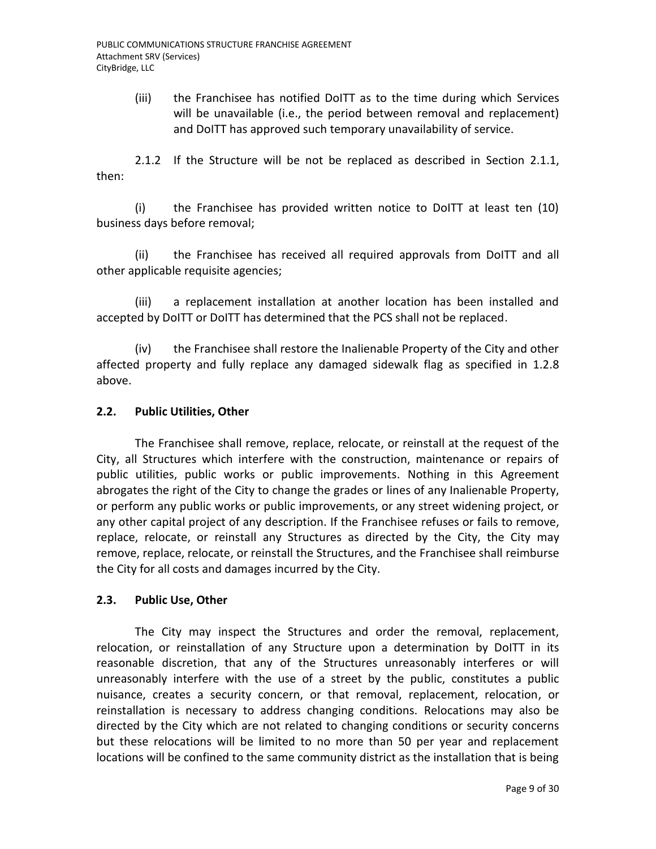(iii) the Franchisee has notified DoITT as to the time during which Services will be unavailable (i.e., the period between removal and replacement) and DoITT has approved such temporary unavailability of service.

2.1.2 If the Structure will be not be replaced as described in Section 2.1.1, then:

(i) the Franchisee has provided written notice to DoITT at least ten (10) business days before removal;

(ii) the Franchisee has received all required approvals from DoITT and all other applicable requisite agencies;

(iii) a replacement installation at another location has been installed and accepted by DoITT or DoITT has determined that the PCS shall not be replaced.

(iv) the Franchisee shall restore the Inalienable Property of the City and other affected property and fully replace any damaged sidewalk flag as specified in 1.2.8 above.

### **2.2. Public Utilities, Other**

The Franchisee shall remove, replace, relocate, or reinstall at the request of the City, all Structures which interfere with the construction, maintenance or repairs of public utilities, public works or public improvements. Nothing in this Agreement abrogates the right of the City to change the grades or lines of any Inalienable Property, or perform any public works or public improvements, or any street widening project, or any other capital project of any description. If the Franchisee refuses or fails to remove, replace, relocate, or reinstall any Structures as directed by the City, the City may remove, replace, relocate, or reinstall the Structures, and the Franchisee shall reimburse the City for all costs and damages incurred by the City.

### **2.3. Public Use, Other**

The City may inspect the Structures and order the removal, replacement, relocation, or reinstallation of any Structure upon a determination by DoITT in its reasonable discretion, that any of the Structures unreasonably interferes or will unreasonably interfere with the use of a street by the public, constitutes a public nuisance, creates a security concern, or that removal, replacement, relocation, or reinstallation is necessary to address changing conditions. Relocations may also be directed by the City which are not related to changing conditions or security concerns but these relocations will be limited to no more than 50 per year and replacement locations will be confined to the same community district as the installation that is being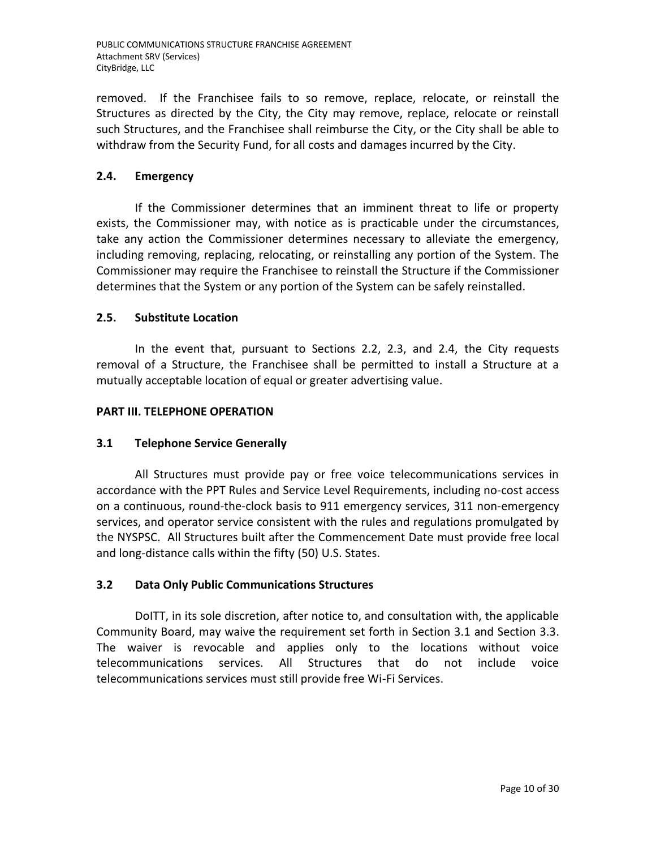removed. If the Franchisee fails to so remove, replace, relocate, or reinstall the Structures as directed by the City, the City may remove, replace, relocate or reinstall such Structures, and the Franchisee shall reimburse the City, or the City shall be able to withdraw from the Security Fund, for all costs and damages incurred by the City.

# **2.4. Emergency**

If the Commissioner determines that an imminent threat to life or property exists, the Commissioner may, with notice as is practicable under the circumstances, take any action the Commissioner determines necessary to alleviate the emergency, including removing, replacing, relocating, or reinstalling any portion of the System. The Commissioner may require the Franchisee to reinstall the Structure if the Commissioner determines that the System or any portion of the System can be safely reinstalled.

## **2.5. Substitute Location**

In the event that, pursuant to Sections 2.2, 2.3, and 2.4, the City requests removal of a Structure, the Franchisee shall be permitted to install a Structure at a mutually acceptable location of equal or greater advertising value.

### **PART III. TELEPHONE OPERATION**

## **3.1 Telephone Service Generally**

All Structures must provide pay or free voice telecommunications services in accordance with the PPT Rules and Service Level Requirements, including no-cost access on a continuous, round-the-clock basis to 911 emergency services, 311 non-emergency services, and operator service consistent with the rules and regulations promulgated by the NYSPSC. All Structures built after the Commencement Date must provide free local and long-distance calls within the fifty (50) U.S. States.

## **3.2 Data Only Public Communications Structures**

DoITT, in its sole discretion, after notice to, and consultation with, the applicable Community Board, may waive the requirement set forth in Section 3.1 and Section 3.3. The waiver is revocable and applies only to the locations without voice telecommunications services. All Structures that do not include voice telecommunications services must still provide free Wi-Fi Services.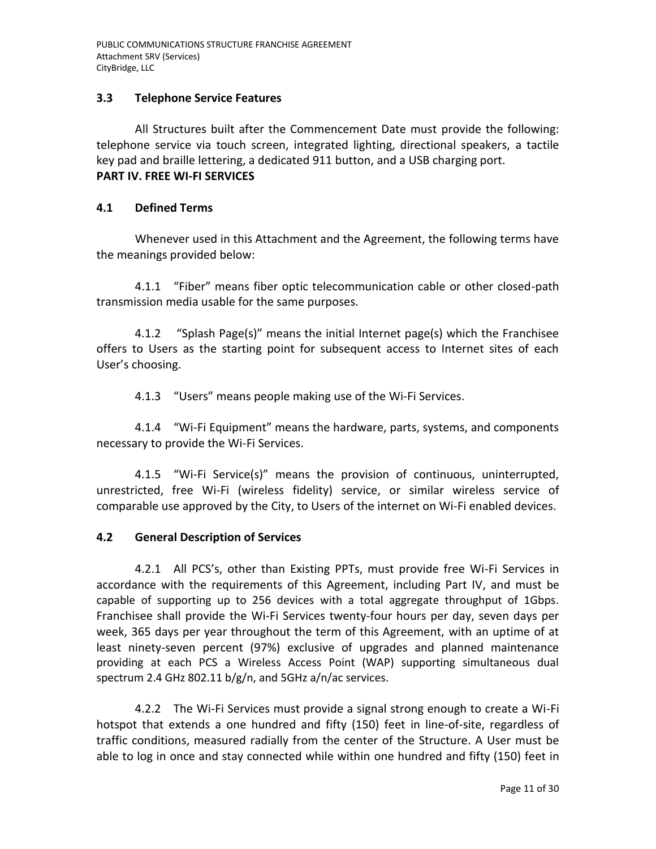### **3.3 Telephone Service Features**

All Structures built after the Commencement Date must provide the following: telephone service via touch screen, integrated lighting, directional speakers, a tactile key pad and braille lettering, a dedicated 911 button, and a USB charging port. **PART IV. FREE WI-FI SERVICES**

### **4.1 Defined Terms**

Whenever used in this Attachment and the Agreement, the following terms have the meanings provided below:

4.1.1 "Fiber" means fiber optic telecommunication cable or other closed-path transmission media usable for the same purposes.

4.1.2 "Splash Page(s)" means the initial Internet page(s) which the Franchisee offers to Users as the starting point for subsequent access to Internet sites of each User's choosing.

4.1.3 "Users" means people making use of the Wi-Fi Services.

4.1.4 "Wi-Fi Equipment" means the hardware, parts, systems, and components necessary to provide the Wi-Fi Services.

4.1.5 "Wi-Fi Service(s)" means the provision of continuous, uninterrupted, unrestricted, free Wi-Fi (wireless fidelity) service, or similar wireless service of comparable use approved by the City, to Users of the internet on Wi-Fi enabled devices.

## **4.2 General Description of Services**

4.2.1 All PCS's, other than Existing PPTs, must provide free Wi-Fi Services in accordance with the requirements of this Agreement, including Part IV, and must be capable of supporting up to 256 devices with a total aggregate throughput of 1Gbps. Franchisee shall provide the Wi-Fi Services twenty-four hours per day, seven days per week, 365 days per year throughout the term of this Agreement, with an uptime of at least ninety-seven percent (97%) exclusive of upgrades and planned maintenance providing at each PCS a Wireless Access Point (WAP) supporting simultaneous dual spectrum 2.4 GHz 802.11 b/g/n, and 5GHz a/n/ac services.

4.2.2 The Wi-Fi Services must provide a signal strong enough to create a Wi-Fi hotspot that extends a one hundred and fifty (150) feet in line-of-site, regardless of traffic conditions, measured radially from the center of the Structure. A User must be able to log in once and stay connected while within one hundred and fifty (150) feet in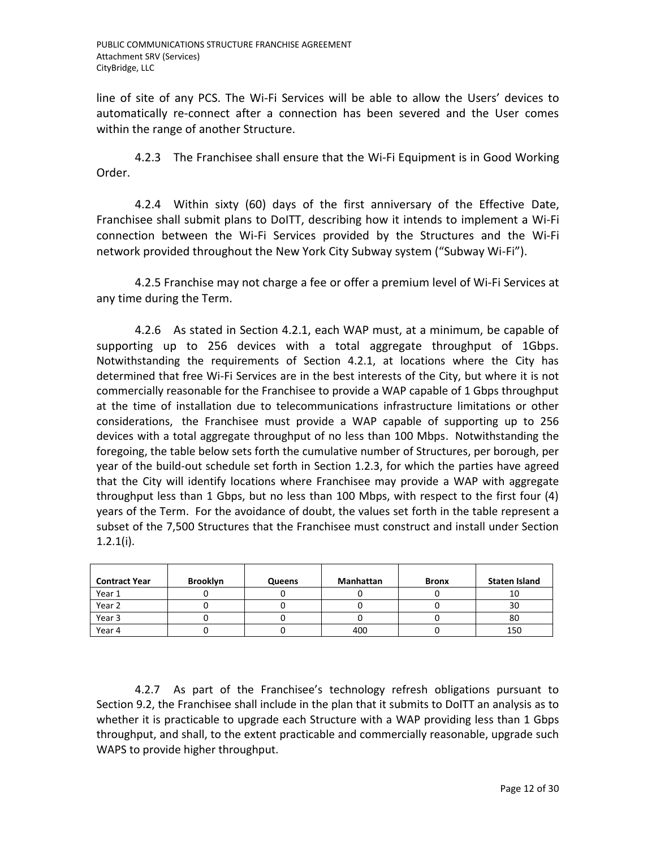line of site of any PCS. The Wi-Fi Services will be able to allow the Users' devices to automatically re-connect after a connection has been severed and the User comes within the range of another Structure.

4.2.3 The Franchisee shall ensure that the Wi-Fi Equipment is in Good Working Order.

4.2.4 Within sixty (60) days of the first anniversary of the Effective Date, Franchisee shall submit plans to DoITT, describing how it intends to implement a Wi-Fi connection between the Wi-Fi Services provided by the Structures and the Wi-Fi network provided throughout the New York City Subway system ("Subway Wi-Fi").

4.2.5 Franchise may not charge a fee or offer a premium level of Wi-Fi Services at any time during the Term.

4.2.6 As stated in Section 4.2.1, each WAP must, at a minimum, be capable of supporting up to 256 devices with a total aggregate throughput of 1Gbps. Notwithstanding the requirements of Section 4.2.1, at locations where the City has determined that free Wi-Fi Services are in the best interests of the City, but where it is not commercially reasonable for the Franchisee to provide a WAP capable of 1 Gbps throughput at the time of installation due to telecommunications infrastructure limitations or other considerations, the Franchisee must provide a WAP capable of supporting up to 256 devices with a total aggregate throughput of no less than 100 Mbps. Notwithstanding the foregoing, the table below sets forth the cumulative number of Structures, per borough, per year of the build-out schedule set forth in Section 1.2.3, for which the parties have agreed that the City will identify locations where Franchisee may provide a WAP with aggregate throughput less than 1 Gbps, but no less than 100 Mbps, with respect to the first four (4) years of the Term. For the avoidance of doubt, the values set forth in the table represent a subset of the 7,500 Structures that the Franchisee must construct and install under Section 1.2.1(i).

| <b>Contract Year</b> | <b>Brooklyn</b> | Queens | Manhattan | <b>Bronx</b> | <b>Staten Island</b> |
|----------------------|-----------------|--------|-----------|--------------|----------------------|
| Year 1               |                 |        |           |              | 10                   |
| Year 2               |                 |        |           |              | 30                   |
| Year 3               |                 |        |           |              | 80                   |
| Year 4               |                 |        | 400       |              | 150                  |

4.2.7 As part of the Franchisee's technology refresh obligations pursuant to Section 9.2, the Franchisee shall include in the plan that it submits to DoITT an analysis as to whether it is practicable to upgrade each Structure with a WAP providing less than 1 Gbps throughput, and shall, to the extent practicable and commercially reasonable, upgrade such WAPS to provide higher throughput.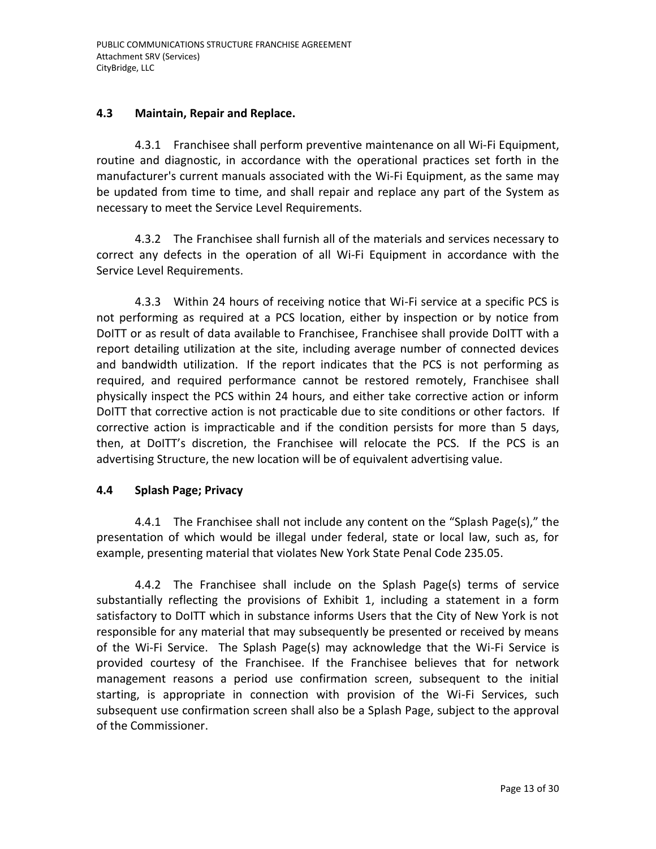### **4.3 Maintain, Repair and Replace.**

4.3.1 Franchisee shall perform preventive maintenance on all Wi-Fi Equipment, routine and diagnostic, in accordance with the operational practices set forth in the manufacturer's current manuals associated with the Wi-Fi Equipment, as the same may be updated from time to time, and shall repair and replace any part of the System as necessary to meet the Service Level Requirements.

4.3.2 The Franchisee shall furnish all of the materials and services necessary to correct any defects in the operation of all Wi-Fi Equipment in accordance with the Service Level Requirements.

4.3.3 Within 24 hours of receiving notice that Wi-Fi service at a specific PCS is not performing as required at a PCS location, either by inspection or by notice from DoITT or as result of data available to Franchisee, Franchisee shall provide DoITT with a report detailing utilization at the site, including average number of connected devices and bandwidth utilization. If the report indicates that the PCS is not performing as required, and required performance cannot be restored remotely, Franchisee shall physically inspect the PCS within 24 hours, and either take corrective action or inform DoITT that corrective action is not practicable due to site conditions or other factors. If corrective action is impracticable and if the condition persists for more than 5 days, then, at DoITT's discretion, the Franchisee will relocate the PCS. If the PCS is an advertising Structure, the new location will be of equivalent advertising value.

### **4.4 Splash Page; Privacy**

4.4.1 The Franchisee shall not include any content on the "Splash Page(s)," the presentation of which would be illegal under federal, state or local law, such as, for example, presenting material that violates New York State Penal Code 235.05.

4.4.2 The Franchisee shall include on the Splash Page(s) terms of service substantially reflecting the provisions of Exhibit 1, including a statement in a form satisfactory to DoITT which in substance informs Users that the City of New York is not responsible for any material that may subsequently be presented or received by means of the Wi-Fi Service. The Splash Page(s) may acknowledge that the Wi-Fi Service is provided courtesy of the Franchisee. If the Franchisee believes that for network management reasons a period use confirmation screen, subsequent to the initial starting, is appropriate in connection with provision of the Wi-Fi Services, such subsequent use confirmation screen shall also be a Splash Page, subject to the approval of the Commissioner.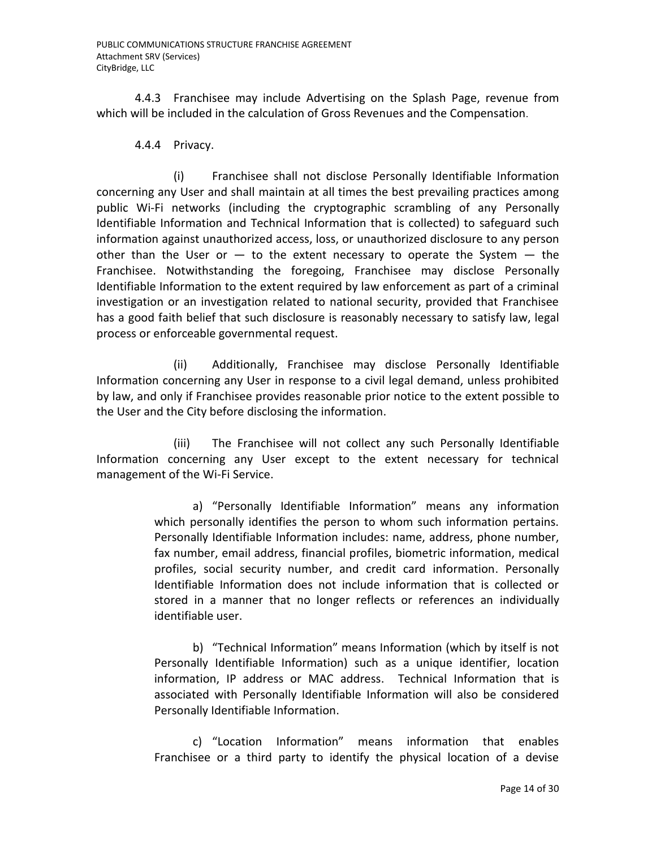4.4.3 Franchisee may include Advertising on the Splash Page, revenue from which will be included in the calculation of Gross Revenues and the Compensation.

4.4.4 Privacy.

(i) Franchisee shall not disclose Personally Identifiable Information concerning any User and shall maintain at all times the best prevailing practices among public Wi-Fi networks (including the cryptographic scrambling of any Personally Identifiable Information and Technical Information that is collected) to safeguard such information against unauthorized access, loss, or unauthorized disclosure to any person other than the User or  $-$  to the extent necessary to operate the System  $-$  the Franchisee. Notwithstanding the foregoing, Franchisee may disclose Personally Identifiable Information to the extent required by law enforcement as part of a criminal investigation or an investigation related to national security, provided that Franchisee has a good faith belief that such disclosure is reasonably necessary to satisfy law, legal process or enforceable governmental request.

(ii) Additionally, Franchisee may disclose Personally Identifiable Information concerning any User in response to a civil legal demand, unless prohibited by law, and only if Franchisee provides reasonable prior notice to the extent possible to the User and the City before disclosing the information.

(iii) The Franchisee will not collect any such Personally Identifiable Information concerning any User except to the extent necessary for technical management of the Wi-Fi Service.

> a) "Personally Identifiable Information" means any information which personally identifies the person to whom such information pertains. Personally Identifiable Information includes: name, address, phone number, fax number, email address, financial profiles, biometric information, medical profiles, social security number, and credit card information. Personally Identifiable Information does not include information that is collected or stored in a manner that no longer reflects or references an individually identifiable user.

> b) "Technical Information" means Information (which by itself is not Personally Identifiable Information) such as a unique identifier, location information, IP address or MAC address. Technical Information that is associated with Personally Identifiable Information will also be considered Personally Identifiable Information.

> c) "Location Information" means information that enables Franchisee or a third party to identify the physical location of a devise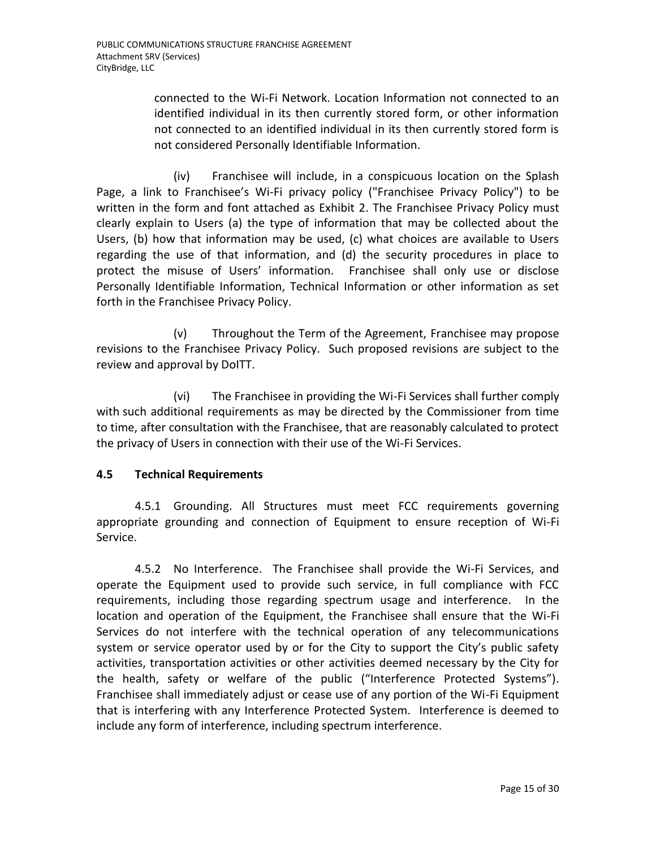connected to the Wi-Fi Network. Location Information not connected to an identified individual in its then currently stored form, or other information not connected to an identified individual in its then currently stored form is not considered Personally Identifiable Information.

(iv) Franchisee will include, in a conspicuous location on the Splash Page, a link to Franchisee's Wi-Fi privacy policy ("Franchisee Privacy Policy") to be written in the form and font attached as Exhibit 2. The Franchisee Privacy Policy must clearly explain to Users (a) the type of information that may be collected about the Users, (b) how that information may be used, (c) what choices are available to Users regarding the use of that information, and (d) the security procedures in place to protect the misuse of Users' information. Franchisee shall only use or disclose Personally Identifiable Information, Technical Information or other information as set forth in the Franchisee Privacy Policy.

(v) Throughout the Term of the Agreement, Franchisee may propose revisions to the Franchisee Privacy Policy. Such proposed revisions are subject to the review and approval by DoITT.

(vi) The Franchisee in providing the Wi-Fi Services shall further comply with such additional requirements as may be directed by the Commissioner from time to time, after consultation with the Franchisee, that are reasonably calculated to protect the privacy of Users in connection with their use of the Wi-Fi Services.

## **4.5 Technical Requirements**

4.5.1 Grounding. All Structures must meet FCC requirements governing appropriate grounding and connection of Equipment to ensure reception of Wi-Fi Service.

4.5.2 No Interference. The Franchisee shall provide the Wi-Fi Services, and operate the Equipment used to provide such service, in full compliance with FCC requirements, including those regarding spectrum usage and interference. In the location and operation of the Equipment, the Franchisee shall ensure that the Wi-Fi Services do not interfere with the technical operation of any telecommunications system or service operator used by or for the City to support the City's public safety activities, transportation activities or other activities deemed necessary by the City for the health, safety or welfare of the public ("Interference Protected Systems"). Franchisee shall immediately adjust or cease use of any portion of the Wi-Fi Equipment that is interfering with any Interference Protected System. Interference is deemed to include any form of interference, including spectrum interference.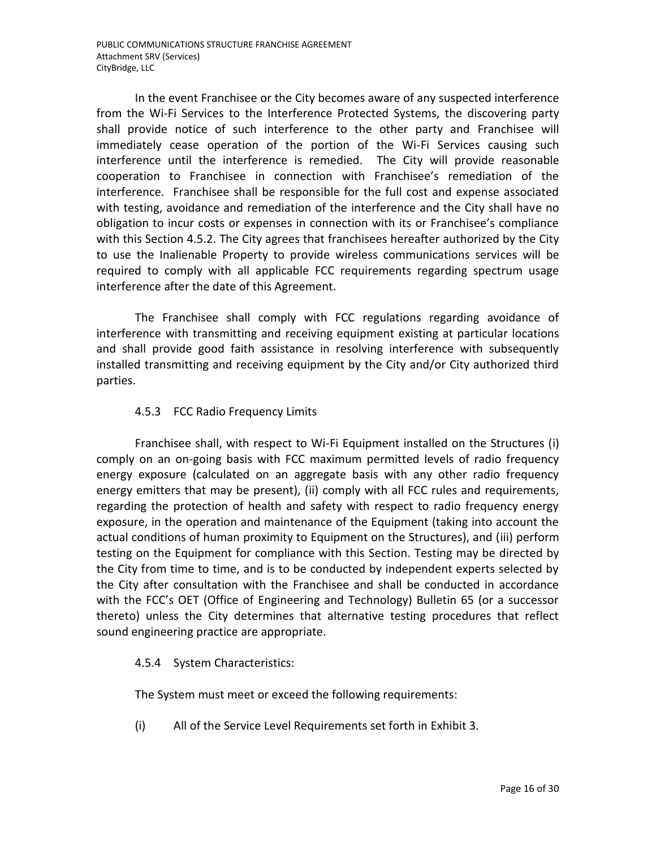In the event Franchisee or the City becomes aware of any suspected interference from the Wi-Fi Services to the Interference Protected Systems, the discovering party shall provide notice of such interference to the other party and Franchisee will immediately cease operation of the portion of the Wi-Fi Services causing such interference until the interference is remedied. The City will provide reasonable cooperation to Franchisee in connection with Franchisee's remediation of the interference. Franchisee shall be responsible for the full cost and expense associated with testing, avoidance and remediation of the interference and the City shall have no obligation to incur costs or expenses in connection with its or Franchisee's compliance with this Section 4.5.2. The City agrees that franchisees hereafter authorized by the City to use the Inalienable Property to provide wireless communications services will be required to comply with all applicable FCC requirements regarding spectrum usage interference after the date of this Agreement.

The Franchisee shall comply with FCC regulations regarding avoidance of interference with transmitting and receiving equipment existing at particular locations and shall provide good faith assistance in resolving interference with subsequently installed transmitting and receiving equipment by the City and/or City authorized third parties.

### 4.5.3 FCC Radio Frequency Limits

Franchisee shall, with respect to Wi-Fi Equipment installed on the Structures (i) comply on an on-going basis with FCC maximum permitted levels of radio frequency energy exposure (calculated on an aggregate basis with any other radio frequency energy emitters that may be present), (ii) comply with all FCC rules and requirements, regarding the protection of health and safety with respect to radio frequency energy exposure, in the operation and maintenance of the Equipment (taking into account the actual conditions of human proximity to Equipment on the Structures), and (iii) perform testing on the Equipment for compliance with this Section. Testing may be directed by the City from time to time, and is to be conducted by independent experts selected by the City after consultation with the Franchisee and shall be conducted in accordance with the FCC's OET (Office of Engineering and Technology) Bulletin 65 (or a successor thereto) unless the City determines that alternative testing procedures that reflect sound engineering practice are appropriate.

### 4.5.4 System Characteristics:

The System must meet or exceed the following requirements:

(i) All of the Service Level Requirements set forth in Exhibit 3.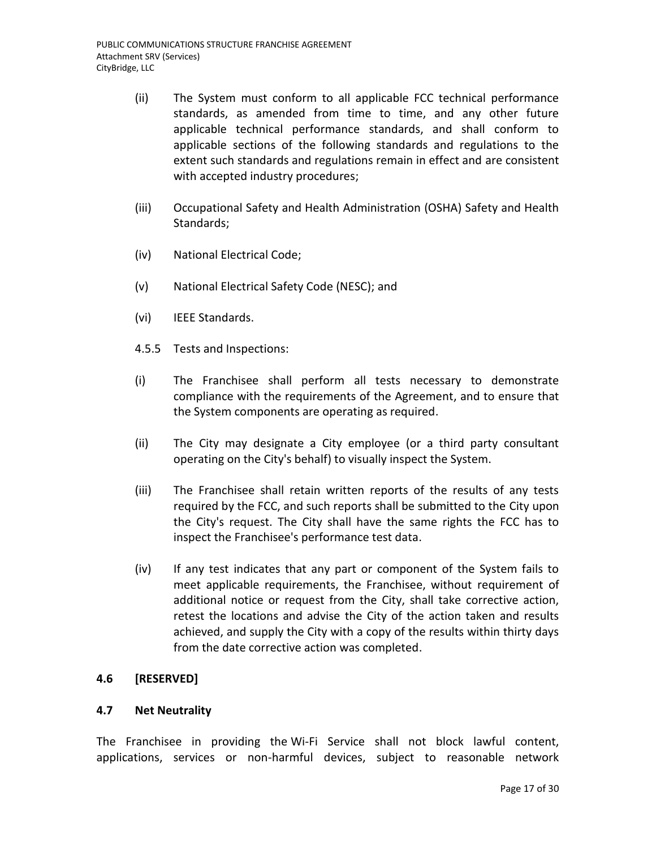- (ii) The System must conform to all applicable FCC technical performance standards, as amended from time to time, and any other future applicable technical performance standards, and shall conform to applicable sections of the following standards and regulations to the extent such standards and regulations remain in effect and are consistent with accepted industry procedures;
- (iii) Occupational Safety and Health Administration (OSHA) Safety and Health Standards;
- (iv) National Electrical Code;
- (v) National Electrical Safety Code (NESC); and
- (vi) IEEE Standards.
- 4.5.5 Tests and Inspections:
- (i) The Franchisee shall perform all tests necessary to demonstrate compliance with the requirements of the Agreement, and to ensure that the System components are operating as required.
- (ii) The City may designate a City employee (or a third party consultant operating on the City's behalf) to visually inspect the System.
- (iii) The Franchisee shall retain written reports of the results of any tests required by the FCC, and such reports shall be submitted to the City upon the City's request. The City shall have the same rights the FCC has to inspect the Franchisee's performance test data.
- (iv) If any test indicates that any part or component of the System fails to meet applicable requirements, the Franchisee, without requirement of additional notice or request from the City, shall take corrective action, retest the locations and advise the City of the action taken and results achieved, and supply the City with a copy of the results within thirty days from the date corrective action was completed.

### **4.6 [RESERVED]**

### **4.7 Net Neutrality**

The Franchisee in providing the Wi-Fi Service shall not block lawful content, applications, services or non-harmful devices, subject to reasonable network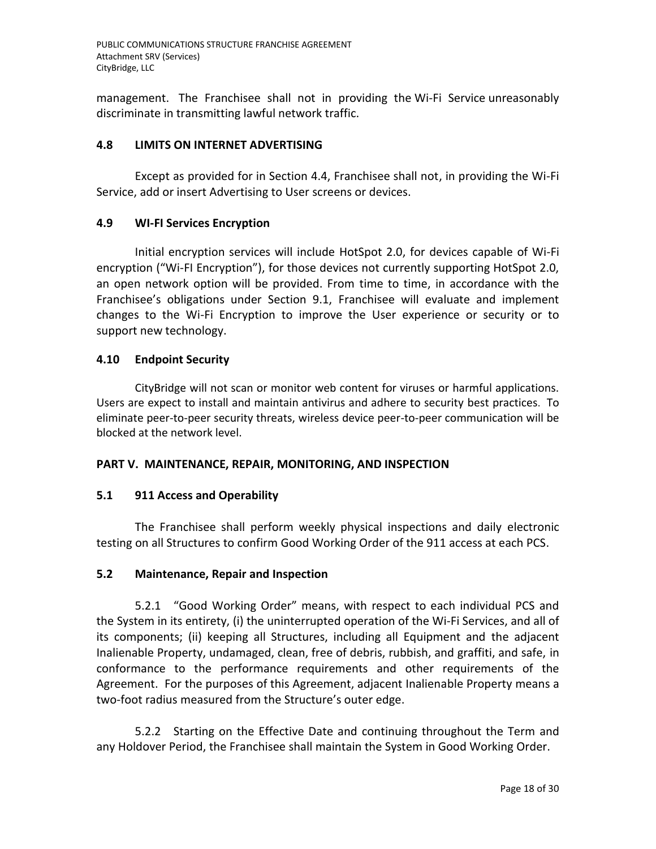management. The Franchisee shall not in providing the Wi-Fi Service unreasonably discriminate in transmitting lawful network traffic.

## **4.8 LIMITS ON INTERNET ADVERTISING**

Except as provided for in Section 4.4, Franchisee shall not, in providing the Wi-Fi Service, add or insert Advertising to User screens or devices.

### **4.9 WI-FI Services Encryption**

Initial encryption services will include HotSpot 2.0, for devices capable of Wi-Fi encryption ("Wi-FI Encryption"), for those devices not currently supporting HotSpot 2.0, an open network option will be provided. From time to time, in accordance with the Franchisee's obligations under Section 9.1, Franchisee will evaluate and implement changes to the Wi-Fi Encryption to improve the User experience or security or to support new technology.

### **4.10 Endpoint Security**

CityBridge will not scan or monitor web content for viruses or harmful applications. Users are expect to install and maintain antivirus and adhere to security best practices. To eliminate peer-to-peer security threats, wireless device peer-to-peer communication will be blocked at the network level.

### **PART V. MAINTENANCE, REPAIR, MONITORING, AND INSPECTION**

## **5.1 911 Access and Operability**

The Franchisee shall perform weekly physical inspections and daily electronic testing on all Structures to confirm Good Working Order of the 911 access at each PCS.

### **5.2 Maintenance, Repair and Inspection**

5.2.1 "Good Working Order" means, with respect to each individual PCS and the System in its entirety, (i) the uninterrupted operation of the Wi-Fi Services, and all of its components; (ii) keeping all Structures, including all Equipment and the adjacent Inalienable Property, undamaged, clean, free of debris, rubbish, and graffiti, and safe, in conformance to the performance requirements and other requirements of the Agreement. For the purposes of this Agreement, adjacent Inalienable Property means a two-foot radius measured from the Structure's outer edge.

5.2.2 Starting on the Effective Date and continuing throughout the Term and any Holdover Period, the Franchisee shall maintain the System in Good Working Order.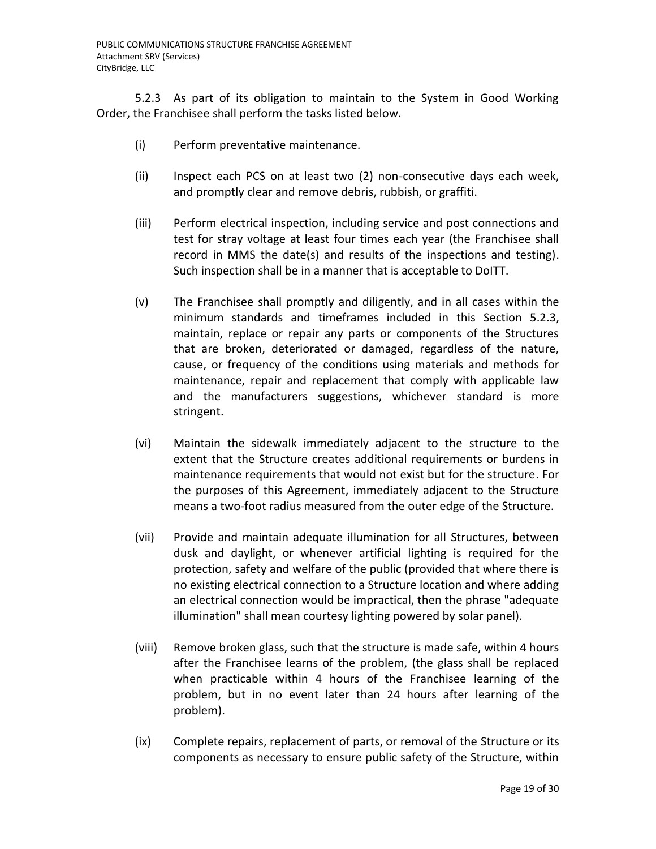5.2.3 As part of its obligation to maintain to the System in Good Working Order, the Franchisee shall perform the tasks listed below.

- (i) Perform preventative maintenance.
- (ii) Inspect each PCS on at least two (2) non-consecutive days each week, and promptly clear and remove debris, rubbish, or graffiti.
- (iii) Perform electrical inspection, including service and post connections and test for stray voltage at least four times each year (the Franchisee shall record in MMS the date(s) and results of the inspections and testing). Such inspection shall be in a manner that is acceptable to DoITT.
- (v) The Franchisee shall promptly and diligently, and in all cases within the minimum standards and timeframes included in this Section 5.2.3, maintain, replace or repair any parts or components of the Structures that are broken, deteriorated or damaged, regardless of the nature, cause, or frequency of the conditions using materials and methods for maintenance, repair and replacement that comply with applicable law and the manufacturers suggestions, whichever standard is more stringent.
- (vi) Maintain the sidewalk immediately adjacent to the structure to the extent that the Structure creates additional requirements or burdens in maintenance requirements that would not exist but for the structure. For the purposes of this Agreement, immediately adjacent to the Structure means a two-foot radius measured from the outer edge of the Structure.
- (vii) Provide and maintain adequate illumination for all Structures, between dusk and daylight, or whenever artificial lighting is required for the protection, safety and welfare of the public (provided that where there is no existing electrical connection to a Structure location and where adding an electrical connection would be impractical, then the phrase "adequate illumination" shall mean courtesy lighting powered by solar panel).
- (viii) Remove broken glass, such that the structure is made safe, within 4 hours after the Franchisee learns of the problem, (the glass shall be replaced when practicable within 4 hours of the Franchisee learning of the problem, but in no event later than 24 hours after learning of the problem).
- (ix) Complete repairs, replacement of parts, or removal of the Structure or its components as necessary to ensure public safety of the Structure, within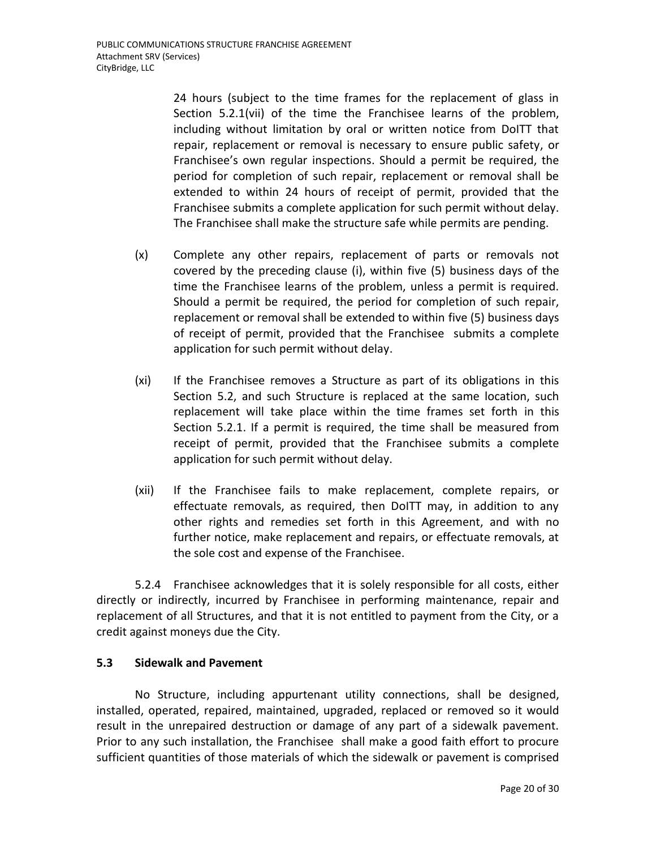24 hours (subject to the time frames for the replacement of glass in Section 5.2.1(vii) of the time the Franchisee learns of the problem, including without limitation by oral or written notice from DoITT that repair, replacement or removal is necessary to ensure public safety, or Franchisee's own regular inspections. Should a permit be required, the period for completion of such repair, replacement or removal shall be extended to within 24 hours of receipt of permit, provided that the Franchisee submits a complete application for such permit without delay. The Franchisee shall make the structure safe while permits are pending.

- (x) Complete any other repairs, replacement of parts or removals not covered by the preceding clause (i), within five (5) business days of the time the Franchisee learns of the problem, unless a permit is required. Should a permit be required, the period for completion of such repair, replacement or removal shall be extended to within five (5) business days of receipt of permit, provided that the Franchisee submits a complete application for such permit without delay.
- (xi) If the Franchisee removes a Structure as part of its obligations in this Section 5.2, and such Structure is replaced at the same location, such replacement will take place within the time frames set forth in this Section 5.2.1. If a permit is required, the time shall be measured from receipt of permit, provided that the Franchisee submits a complete application for such permit without delay.
- (xii) If the Franchisee fails to make replacement, complete repairs, or effectuate removals, as required, then DoITT may, in addition to any other rights and remedies set forth in this Agreement, and with no further notice, make replacement and repairs, or effectuate removals, at the sole cost and expense of the Franchisee.

5.2.4 Franchisee acknowledges that it is solely responsible for all costs, either directly or indirectly, incurred by Franchisee in performing maintenance, repair and replacement of all Structures, and that it is not entitled to payment from the City, or a credit against moneys due the City.

## **5.3 Sidewalk and Pavement**

No Structure, including appurtenant utility connections, shall be designed, installed, operated, repaired, maintained, upgraded, replaced or removed so it would result in the unrepaired destruction or damage of any part of a sidewalk pavement. Prior to any such installation, the Franchisee shall make a good faith effort to procure sufficient quantities of those materials of which the sidewalk or pavement is comprised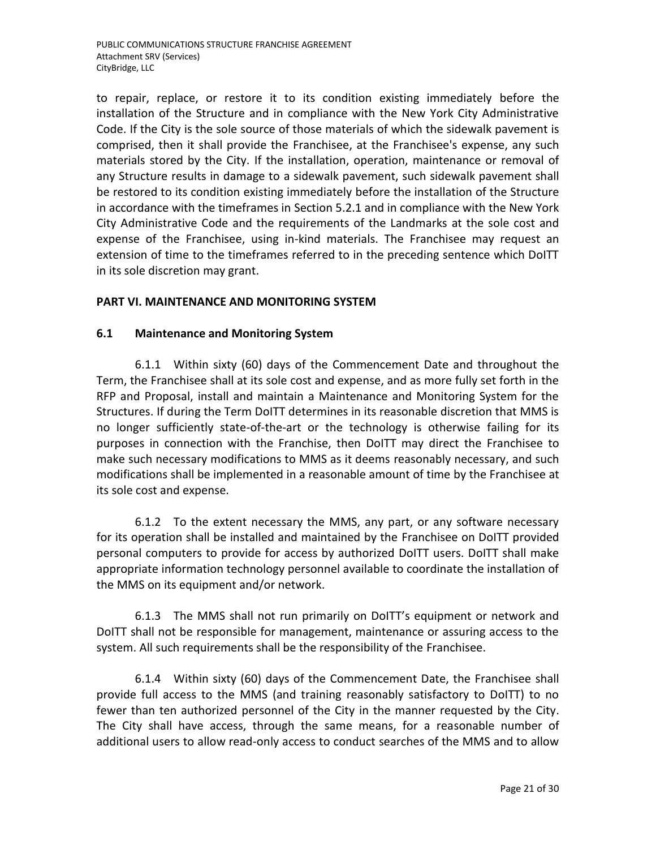to repair, replace, or restore it to its condition existing immediately before the installation of the Structure and in compliance with the New York City Administrative Code. If the City is the sole source of those materials of which the sidewalk pavement is comprised, then it shall provide the Franchisee, at the Franchisee's expense, any such materials stored by the City. If the installation, operation, maintenance or removal of any Structure results in damage to a sidewalk pavement, such sidewalk pavement shall be restored to its condition existing immediately before the installation of the Structure in accordance with the timeframes in Section 5.2.1 and in compliance with the New York City Administrative Code and the requirements of the Landmarks at the sole cost and expense of the Franchisee, using in-kind materials. The Franchisee may request an extension of time to the timeframes referred to in the preceding sentence which DoITT in its sole discretion may grant.

### **PART VI. MAINTENANCE AND MONITORING SYSTEM**

### **6.1 Maintenance and Monitoring System**

6.1.1 Within sixty (60) days of the Commencement Date and throughout the Term, the Franchisee shall at its sole cost and expense, and as more fully set forth in the RFP and Proposal, install and maintain a Maintenance and Monitoring System for the Structures. If during the Term DoITT determines in its reasonable discretion that MMS is no longer sufficiently state-of-the-art or the technology is otherwise failing for its purposes in connection with the Franchise, then DoITT may direct the Franchisee to make such necessary modifications to MMS as it deems reasonably necessary, and such modifications shall be implemented in a reasonable amount of time by the Franchisee at its sole cost and expense.

6.1.2 To the extent necessary the MMS, any part, or any software necessary for its operation shall be installed and maintained by the Franchisee on DoITT provided personal computers to provide for access by authorized DoITT users. DoITT shall make appropriate information technology personnel available to coordinate the installation of the MMS on its equipment and/or network.

6.1.3 The MMS shall not run primarily on DoITT's equipment or network and DoITT shall not be responsible for management, maintenance or assuring access to the system. All such requirements shall be the responsibility of the Franchisee.

6.1.4 Within sixty (60) days of the Commencement Date, the Franchisee shall provide full access to the MMS (and training reasonably satisfactory to DoITT) to no fewer than ten authorized personnel of the City in the manner requested by the City. The City shall have access, through the same means, for a reasonable number of additional users to allow read-only access to conduct searches of the MMS and to allow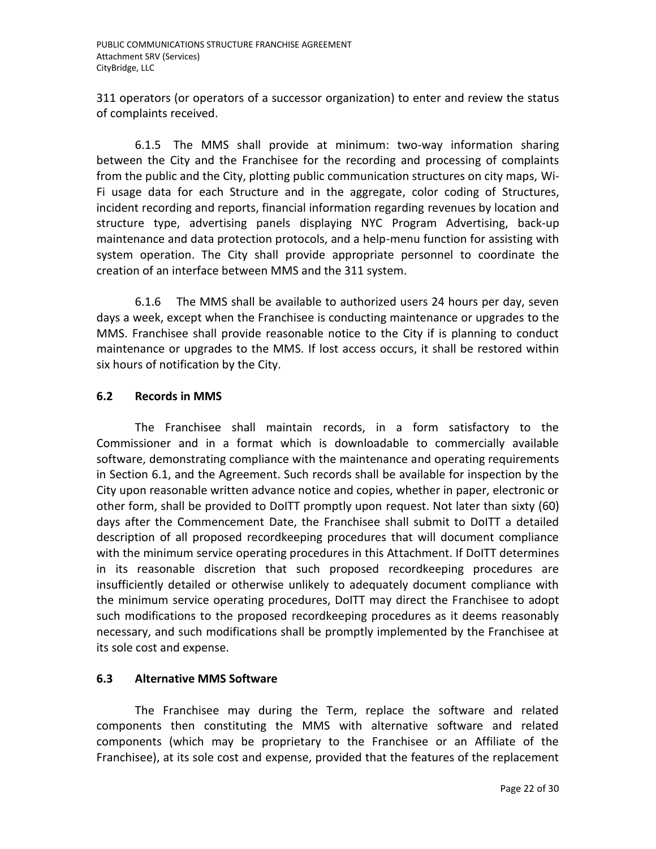311 operators (or operators of a successor organization) to enter and review the status of complaints received.

6.1.5 The MMS shall provide at minimum: two-way information sharing between the City and the Franchisee for the recording and processing of complaints from the public and the City, plotting public communication structures on city maps, Wi-Fi usage data for each Structure and in the aggregate, color coding of Structures, incident recording and reports, financial information regarding revenues by location and structure type, advertising panels displaying NYC Program Advertising, back-up maintenance and data protection protocols, and a help-menu function for assisting with system operation. The City shall provide appropriate personnel to coordinate the creation of an interface between MMS and the 311 system.

6.1.6 The MMS shall be available to authorized users 24 hours per day, seven days a week, except when the Franchisee is conducting maintenance or upgrades to the MMS. Franchisee shall provide reasonable notice to the City if is planning to conduct maintenance or upgrades to the MMS. If lost access occurs, it shall be restored within six hours of notification by the City.

## **6.2 Records in MMS**

The Franchisee shall maintain records, in a form satisfactory to the Commissioner and in a format which is downloadable to commercially available software, demonstrating compliance with the maintenance and operating requirements in Section 6.1, and the Agreement. Such records shall be available for inspection by the City upon reasonable written advance notice and copies, whether in paper, electronic or other form, shall be provided to DoITT promptly upon request. Not later than sixty (60) days after the Commencement Date, the Franchisee shall submit to DoITT a detailed description of all proposed recordkeeping procedures that will document compliance with the minimum service operating procedures in this Attachment. If DoITT determines in its reasonable discretion that such proposed recordkeeping procedures are insufficiently detailed or otherwise unlikely to adequately document compliance with the minimum service operating procedures, DoITT may direct the Franchisee to adopt such modifications to the proposed recordkeeping procedures as it deems reasonably necessary, and such modifications shall be promptly implemented by the Franchisee at its sole cost and expense.

## **6.3 Alternative MMS Software**

The Franchisee may during the Term, replace the software and related components then constituting the MMS with alternative software and related components (which may be proprietary to the Franchisee or an Affiliate of the Franchisee), at its sole cost and expense, provided that the features of the replacement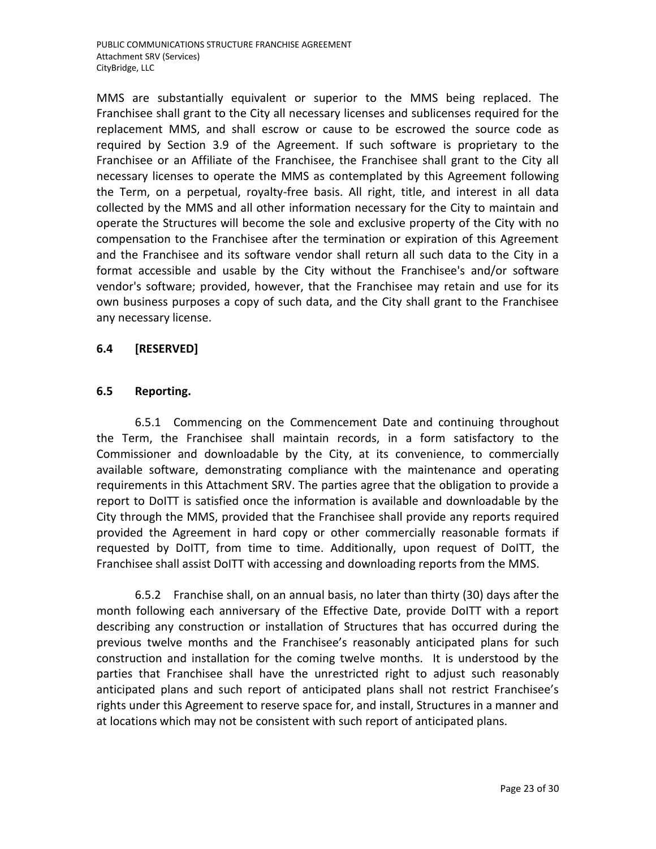MMS are substantially equivalent or superior to the MMS being replaced. The Franchisee shall grant to the City all necessary licenses and sublicenses required for the replacement MMS, and shall escrow or cause to be escrowed the source code as required by Section 3.9 of the Agreement. If such software is proprietary to the Franchisee or an Affiliate of the Franchisee, the Franchisee shall grant to the City all necessary licenses to operate the MMS as contemplated by this Agreement following the Term, on a perpetual, royalty-free basis. All right, title, and interest in all data collected by the MMS and all other information necessary for the City to maintain and operate the Structures will become the sole and exclusive property of the City with no compensation to the Franchisee after the termination or expiration of this Agreement and the Franchisee and its software vendor shall return all such data to the City in a format accessible and usable by the City without the Franchisee's and/or software vendor's software; provided, however, that the Franchisee may retain and use for its own business purposes a copy of such data, and the City shall grant to the Franchisee any necessary license.

### **6.4 [RESERVED]**

### **6.5 Reporting.**

6.5.1 Commencing on the Commencement Date and continuing throughout the Term, the Franchisee shall maintain records, in a form satisfactory to the Commissioner and downloadable by the City, at its convenience, to commercially available software, demonstrating compliance with the maintenance and operating requirements in this Attachment SRV. The parties agree that the obligation to provide a report to DoITT is satisfied once the information is available and downloadable by the City through the MMS, provided that the Franchisee shall provide any reports required provided the Agreement in hard copy or other commercially reasonable formats if requested by DoITT, from time to time. Additionally, upon request of DoITT, the Franchisee shall assist DoITT with accessing and downloading reports from the MMS.

6.5.2 Franchise shall, on an annual basis, no later than thirty (30) days after the month following each anniversary of the Effective Date, provide DoITT with a report describing any construction or installation of Structures that has occurred during the previous twelve months and the Franchisee's reasonably anticipated plans for such construction and installation for the coming twelve months. It is understood by the parties that Franchisee shall have the unrestricted right to adjust such reasonably anticipated plans and such report of anticipated plans shall not restrict Franchisee's rights under this Agreement to reserve space for, and install, Structures in a manner and at locations which may not be consistent with such report of anticipated plans.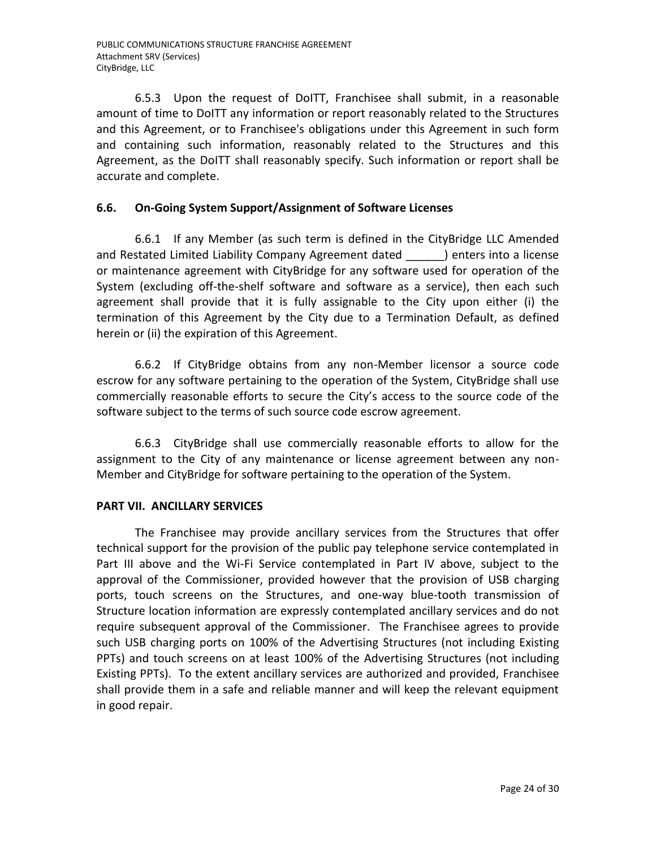6.5.3 Upon the request of DoITT, Franchisee shall submit, in a reasonable amount of time to DoITT any information or report reasonably related to the Structures and this Agreement, or to Franchisee's obligations under this Agreement in such form and containing such information, reasonably related to the Structures and this Agreement, as the DoITT shall reasonably specify. Such information or report shall be accurate and complete.

## **6.6. On-Going System Support/Assignment of Software Licenses**

6.6.1 If any Member (as such term is defined in the CityBridge LLC Amended and Restated Limited Liability Company Agreement dated (approaches into a license or maintenance agreement with CityBridge for any software used for operation of the System (excluding off-the-shelf software and software as a service), then each such agreement shall provide that it is fully assignable to the City upon either (i) the termination of this Agreement by the City due to a Termination Default, as defined herein or (ii) the expiration of this Agreement.

6.6.2 If CityBridge obtains from any non-Member licensor a source code escrow for any software pertaining to the operation of the System, CityBridge shall use commercially reasonable efforts to secure the City's access to the source code of the software subject to the terms of such source code escrow agreement.

6.6.3 CityBridge shall use commercially reasonable efforts to allow for the assignment to the City of any maintenance or license agreement between any non-Member and CityBridge for software pertaining to the operation of the System.

## **PART VII. ANCILLARY SERVICES**

The Franchisee may provide ancillary services from the Structures that offer technical support for the provision of the public pay telephone service contemplated in Part III above and the Wi-Fi Service contemplated in Part IV above, subject to the approval of the Commissioner, provided however that the provision of USB charging ports, touch screens on the Structures, and one-way blue-tooth transmission of Structure location information are expressly contemplated ancillary services and do not require subsequent approval of the Commissioner. The Franchisee agrees to provide such USB charging ports on 100% of the Advertising Structures (not including Existing PPTs) and touch screens on at least 100% of the Advertising Structures (not including Existing PPTs). To the extent ancillary services are authorized and provided, Franchisee shall provide them in a safe and reliable manner and will keep the relevant equipment in good repair.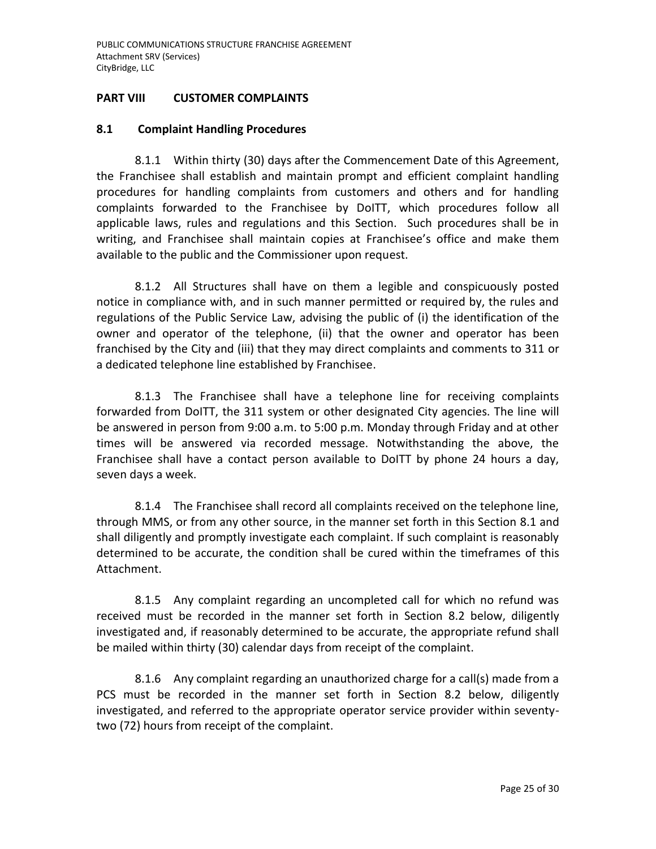### **PART VIII CUSTOMER COMPLAINTS**

#### **8.1 Complaint Handling Procedures**

8.1.1 Within thirty (30) days after the Commencement Date of this Agreement, the Franchisee shall establish and maintain prompt and efficient complaint handling procedures for handling complaints from customers and others and for handling complaints forwarded to the Franchisee by DoITT, which procedures follow all applicable laws, rules and regulations and this Section. Such procedures shall be in writing, and Franchisee shall maintain copies at Franchisee's office and make them available to the public and the Commissioner upon request.

8.1.2 All Structures shall have on them a legible and conspicuously posted notice in compliance with, and in such manner permitted or required by, the rules and regulations of the Public Service Law, advising the public of (i) the identification of the owner and operator of the telephone, (ii) that the owner and operator has been franchised by the City and (iii) that they may direct complaints and comments to 311 or a dedicated telephone line established by Franchisee.

8.1.3 The Franchisee shall have a telephone line for receiving complaints forwarded from DoITT, the 311 system or other designated City agencies. The line will be answered in person from 9:00 a.m. to 5:00 p.m. Monday through Friday and at other times will be answered via recorded message. Notwithstanding the above, the Franchisee shall have a contact person available to DoITT by phone 24 hours a day, seven days a week.

8.1.4 The Franchisee shall record all complaints received on the telephone line, through MMS, or from any other source, in the manner set forth in this Section 8.1 and shall diligently and promptly investigate each complaint. If such complaint is reasonably determined to be accurate, the condition shall be cured within the timeframes of this Attachment.

8.1.5 Any complaint regarding an uncompleted call for which no refund was received must be recorded in the manner set forth in Section 8.2 below, diligently investigated and, if reasonably determined to be accurate, the appropriate refund shall be mailed within thirty (30) calendar days from receipt of the complaint.

8.1.6 Any complaint regarding an unauthorized charge for a call(s) made from a PCS must be recorded in the manner set forth in Section 8.2 below, diligently investigated, and referred to the appropriate operator service provider within seventytwo (72) hours from receipt of the complaint.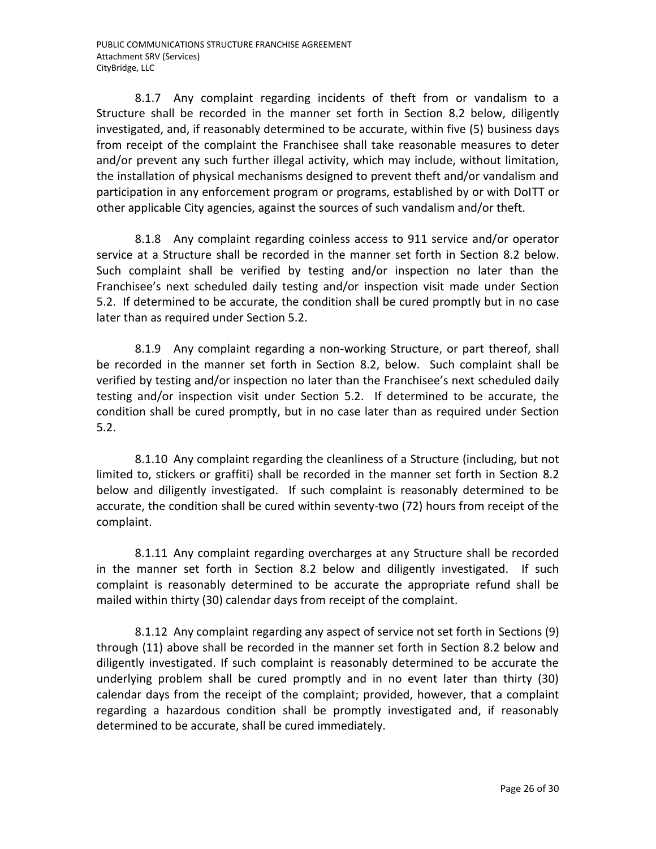8.1.7 Any complaint regarding incidents of theft from or vandalism to a Structure shall be recorded in the manner set forth in Section 8.2 below, diligently investigated, and, if reasonably determined to be accurate, within five (5) business days from receipt of the complaint the Franchisee shall take reasonable measures to deter and/or prevent any such further illegal activity, which may include, without limitation, the installation of physical mechanisms designed to prevent theft and/or vandalism and participation in any enforcement program or programs, established by or with DoITT or other applicable City agencies, against the sources of such vandalism and/or theft.

8.1.8 Any complaint regarding coinless access to 911 service and/or operator service at a Structure shall be recorded in the manner set forth in Section 8.2 below. Such complaint shall be verified by testing and/or inspection no later than the Franchisee's next scheduled daily testing and/or inspection visit made under Section 5.2. If determined to be accurate, the condition shall be cured promptly but in no case later than as required under Section 5.2.

8.1.9 Any complaint regarding a non-working Structure, or part thereof, shall be recorded in the manner set forth in Section 8.2, below. Such complaint shall be verified by testing and/or inspection no later than the Franchisee's next scheduled daily testing and/or inspection visit under Section 5.2. If determined to be accurate, the condition shall be cured promptly, but in no case later than as required under Section 5.2.

8.1.10 Any complaint regarding the cleanliness of a Structure (including, but not limited to, stickers or graffiti) shall be recorded in the manner set forth in Section 8.2 below and diligently investigated. If such complaint is reasonably determined to be accurate, the condition shall be cured within seventy-two (72) hours from receipt of the complaint.

8.1.11 Any complaint regarding overcharges at any Structure shall be recorded in the manner set forth in Section 8.2 below and diligently investigated. If such complaint is reasonably determined to be accurate the appropriate refund shall be mailed within thirty (30) calendar days from receipt of the complaint.

8.1.12 Any complaint regarding any aspect of service not set forth in Sections (9) through (11) above shall be recorded in the manner set forth in Section 8.2 below and diligently investigated. If such complaint is reasonably determined to be accurate the underlying problem shall be cured promptly and in no event later than thirty (30) calendar days from the receipt of the complaint; provided, however, that a complaint regarding a hazardous condition shall be promptly investigated and, if reasonably determined to be accurate, shall be cured immediately.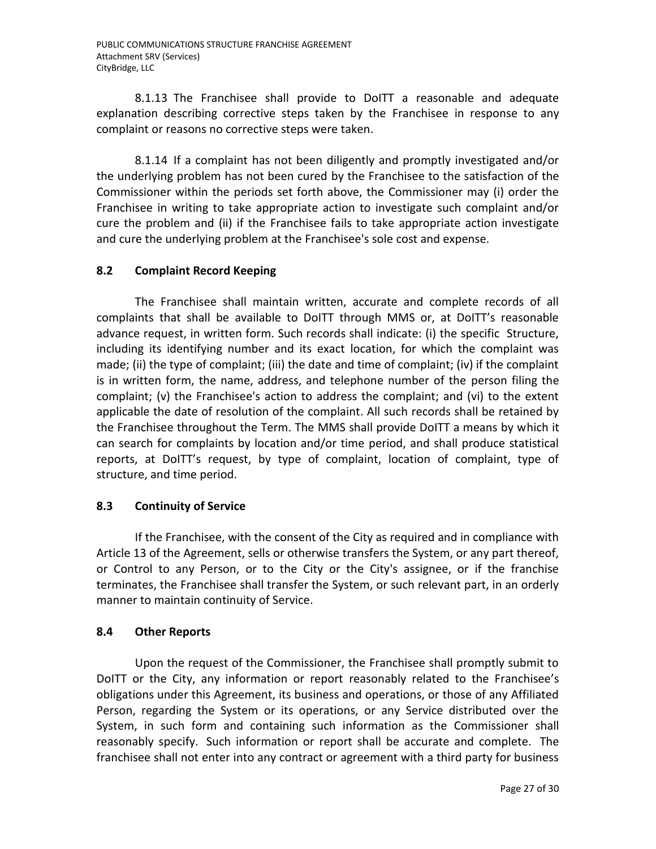8.1.13 The Franchisee shall provide to DoITT a reasonable and adequate explanation describing corrective steps taken by the Franchisee in response to any complaint or reasons no corrective steps were taken.

8.1.14 If a complaint has not been diligently and promptly investigated and/or the underlying problem has not been cured by the Franchisee to the satisfaction of the Commissioner within the periods set forth above, the Commissioner may (i) order the Franchisee in writing to take appropriate action to investigate such complaint and/or cure the problem and (ii) if the Franchisee fails to take appropriate action investigate and cure the underlying problem at the Franchisee's sole cost and expense.

## **8.2 Complaint Record Keeping**

The Franchisee shall maintain written, accurate and complete records of all complaints that shall be available to DoITT through MMS or, at DoITT's reasonable advance request, in written form. Such records shall indicate: (i) the specific Structure, including its identifying number and its exact location, for which the complaint was made; (ii) the type of complaint; (iii) the date and time of complaint; (iv) if the complaint is in written form, the name, address, and telephone number of the person filing the complaint; (v) the Franchisee's action to address the complaint; and (vi) to the extent applicable the date of resolution of the complaint. All such records shall be retained by the Franchisee throughout the Term. The MMS shall provide DoITT a means by which it can search for complaints by location and/or time period, and shall produce statistical reports, at DoITT's request, by type of complaint, location of complaint, type of structure, and time period.

### **8.3 Continuity of Service**

If the Franchisee, with the consent of the City as required and in compliance with Article 13 of the Agreement, sells or otherwise transfers the System, or any part thereof, or Control to any Person, or to the City or the City's assignee, or if the franchise terminates, the Franchisee shall transfer the System, or such relevant part, in an orderly manner to maintain continuity of Service.

### **8.4 Other Reports**

Upon the request of the Commissioner, the Franchisee shall promptly submit to DoITT or the City, any information or report reasonably related to the Franchisee's obligations under this Agreement, its business and operations, or those of any Affiliated Person, regarding the System or its operations, or any Service distributed over the System, in such form and containing such information as the Commissioner shall reasonably specify. Such information or report shall be accurate and complete. The franchisee shall not enter into any contract or agreement with a third party for business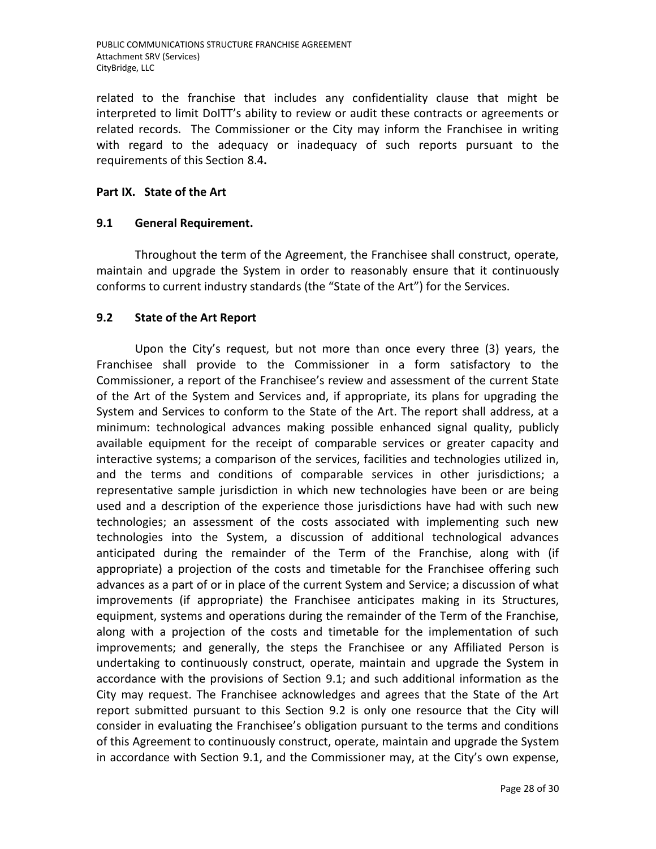related to the franchise that includes any confidentiality clause that might be interpreted to limit DoITT's ability to review or audit these contracts or agreements or related records. The Commissioner or the City may inform the Franchisee in writing with regard to the adequacy or inadequacy of such reports pursuant to the requirements of this Section 8.4**.**

### **Part IX. State of the Art**

### **9.1 General Requirement.**

Throughout the term of the Agreement, the Franchisee shall construct, operate, maintain and upgrade the System in order to reasonably ensure that it continuously conforms to current industry standards (the "State of the Art") for the Services.

### **9.2 State of the Art Report**

Upon the City's request, but not more than once every three (3) years, the Franchisee shall provide to the Commissioner in a form satisfactory to the Commissioner, a report of the Franchisee's review and assessment of the current State of the Art of the System and Services and, if appropriate, its plans for upgrading the System and Services to conform to the State of the Art. The report shall address, at a minimum: technological advances making possible enhanced signal quality, publicly available equipment for the receipt of comparable services or greater capacity and interactive systems; a comparison of the services, facilities and technologies utilized in, and the terms and conditions of comparable services in other jurisdictions; a representative sample jurisdiction in which new technologies have been or are being used and a description of the experience those jurisdictions have had with such new technologies; an assessment of the costs associated with implementing such new technologies into the System, a discussion of additional technological advances anticipated during the remainder of the Term of the Franchise, along with (if appropriate) a projection of the costs and timetable for the Franchisee offering such advances as a part of or in place of the current System and Service; a discussion of what improvements (if appropriate) the Franchisee anticipates making in its Structures, equipment, systems and operations during the remainder of the Term of the Franchise, along with a projection of the costs and timetable for the implementation of such improvements; and generally, the steps the Franchisee or any Affiliated Person is undertaking to continuously construct, operate, maintain and upgrade the System in accordance with the provisions of Section 9.1; and such additional information as the City may request. The Franchisee acknowledges and agrees that the State of the Art report submitted pursuant to this Section 9.2 is only one resource that the City will consider in evaluating the Franchisee's obligation pursuant to the terms and conditions of this Agreement to continuously construct, operate, maintain and upgrade the System in accordance with Section 9.1, and the Commissioner may, at the City's own expense,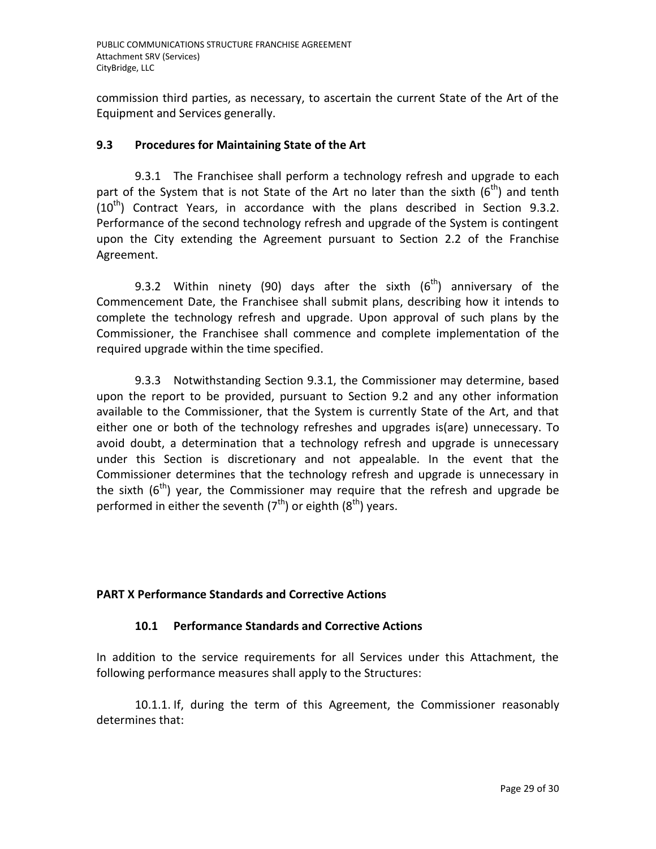commission third parties, as necessary, to ascertain the current State of the Art of the Equipment and Services generally.

## **9.3 Procedures for Maintaining State of the Art**

9.3.1 The Franchisee shall perform a technology refresh and upgrade to each part of the System that is not State of the Art no later than the sixth  $(6<sup>th</sup>)$  and tenth  $(10^{th})$  Contract Years, in accordance with the plans described in Section 9.3.2. Performance of the second technology refresh and upgrade of the System is contingent upon the City extending the Agreement pursuant to Section 2.2 of the Franchise Agreement.

9.3.2 Within ninety (90) days after the sixth  $(6<sup>th</sup>)$  anniversary of the Commencement Date, the Franchisee shall submit plans, describing how it intends to complete the technology refresh and upgrade. Upon approval of such plans by the Commissioner, the Franchisee shall commence and complete implementation of the required upgrade within the time specified.

9.3.3 Notwithstanding Section 9.3.1, the Commissioner may determine, based upon the report to be provided, pursuant to Section 9.2 and any other information available to the Commissioner, that the System is currently State of the Art, and that either one or both of the technology refreshes and upgrades is(are) unnecessary. To avoid doubt, a determination that a technology refresh and upgrade is unnecessary under this Section is discretionary and not appealable. In the event that the Commissioner determines that the technology refresh and upgrade is unnecessary in the sixth  $(6^{th})$  year, the Commissioner may require that the refresh and upgrade be performed in either the seventh  $(7<sup>th</sup>)$  or eighth  $(8<sup>th</sup>)$  years.

## **PART X Performance Standards and Corrective Actions**

### **10.1 Performance Standards and Corrective Actions**

In addition to the service requirements for all Services under this Attachment, the following performance measures shall apply to the Structures:

10.1.1. If, during the term of this Agreement, the Commissioner reasonably determines that: